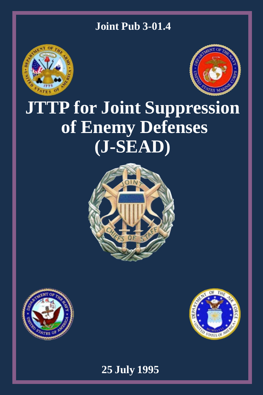





# **25 July 1995**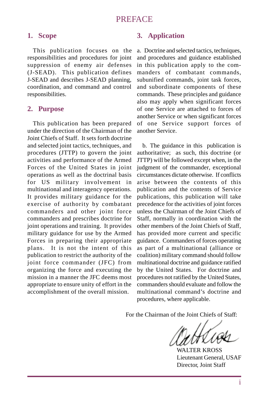## **PREFACE**

### **1. Scope**

This publication focuses on the responsibilities and procedures for joint suppression of enemy air defenses (J-SEAD). This publication defines J-SEAD and describes J-SEAD planning, coordination, and command and control responsibilities.

### **2. Purpose**

This publication has been prepared under the direction of the Chairman of the Joint Chiefs of Staff. It sets forth doctrine and selected joint tactics, techniques, and procedures (JTTP) to govern the joint activities and performance of the Armed Forces of the United States in joint operations as well as the doctrinal basis for US military involvement in multinational and interagency operations. It provides military guidance for the exercise of authority by combatant commanders and other joint force commanders and prescribes doctrine for joint operations and training. It provides military guidance for use by the Armed Forces in preparing their appropriate plans. It is not the intent of this publication to restrict the authority of the joint force commander (JFC) from organizing the force and executing the mission in a manner the JFC deems most appropriate to ensure unity of effort in the accomplishment of the overall mission.

### **3. Application**

a. Doctrine and selected tactics, techniques, and procedures and guidance established in this publication apply to the commanders of combatant commands, subunified commands, joint task forces, and subordinate components of these commands. These principles and guidance also may apply when significant forces of one Service are attached to forces of another Service or when significant forces of one Service support forces of another Service.

b. The guidance in this publication is authoritative; as such, this doctrine (or JTTP) will be followed except when, in the judgment of the commander, exceptional circumstances dictate otherwise. If conflicts arise between the contents of this publication and the contents of Service publications, this publication will take precedence for the activities of joint forces unless the Chairman of the Joint Chiefs of Staff, normally in coordination with the other members of the Joint Chiefs of Staff, has provided more current and specific guidance. Commanders of forces operating as part of a multinational (alliance or coalition) military command should follow multinational doctrine and guidance ratified by the United States. For doctrine and procedures not ratified by the United States, commanders should evaluate and follow the multinational command's doctrine and procedures, where applicable.

For the Chairman of the Joint Chiefs of Staff:

WALTER KROSS Lieutenant General, USAF Director, Joint Staff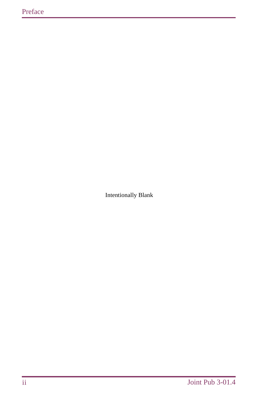Intentionally Blank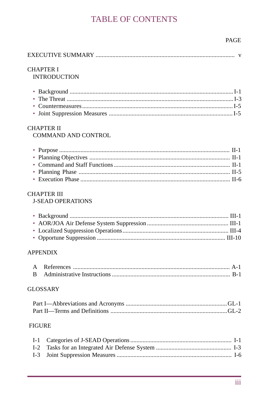## TABLE OF CONTENTS

| <b>PAGE</b>                                     |  |
|-------------------------------------------------|--|
|                                                 |  |
| <b>CHAPTER I</b><br><b>INTRODUCTION</b>         |  |
|                                                 |  |
| <b>CHAPTER II</b><br><b>COMMAND AND CONTROL</b> |  |
|                                                 |  |
| <b>CHAPTER III</b><br><b>J-SEAD OPERATIONS</b>  |  |
|                                                 |  |
| <b>APPENDIX</b>                                 |  |
| A<br>B                                          |  |
| <b>GLOSSARY</b>                                 |  |
|                                                 |  |
| <b>FIGURE</b>                                   |  |
| $I-1$<br>$I-2$<br>$I-3$                         |  |
|                                                 |  |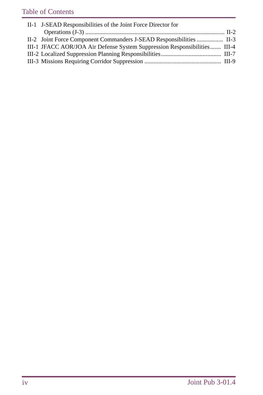## Table of Contents

| II-1 J-SEAD Responsibilities of the Joint Force Director for              |  |
|---------------------------------------------------------------------------|--|
|                                                                           |  |
| II-2 Joint Force Component Commanders J-SEAD Responsibilities  II-3       |  |
| III-1 JFACC AOR/JOA Air Defense System Suppression Responsibilities III-4 |  |
|                                                                           |  |
|                                                                           |  |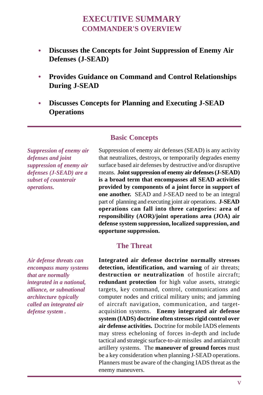## **EXECUTIVE SUMMARY COMMANDER'S OVERVIEW**

- **• Discusses the Concepts for Joint Suppression of Enemy Air Defenses (J-SEAD)**
- **• Provides Guidance on Command and Control Relationships During J-SEAD**
- **• Discusses Concepts for Planning and Executing J-SEAD Operations**

*Suppression of enemy air defenses and joint suppression of enemy air defenses (J-SEAD) are a subset of counterair operations.*

*Air defense threats can encompass many systems that are normally integrated in a national, alliance, or subnational architecture typically called an integrated air defense system .*

### **Basic Concepts**

Suppression of enemy air defenses (SEAD) is any activity that neutralizes, destroys, or temporarily degrades enemy surface based air defenses by destructive and/or disruptive means. **Joint suppression of enemy air defenses (J-SEAD) is a broad term that encompasses all SEAD activities provided by components of a joint force in support of one another.** SEAD and J-SEAD need to be an integral part of planning and executing joint air operations. **J-SEAD operations can fall into three categories: area of responsibility (AOR)/joint operations area (JOA) air defense system suppression, localized suppression, and opportune suppression.**

### **The Threat**

**Integrated air defense doctrine normally stresses detection, identification, and warning** of air threats; **destruction or neutralization** of hostile aircraft; **redundant protection** for high value assets, strategic targets, key command, control, communications and computer nodes and critical military units; and jamming of aircraft navigation, communication, and targetacquisition systems. **Enemy integrated air defense system (IADS) doctrine often stresses rigid control over air defense activities.** Doctrine for mobile IADS elements may stress echeloning of forces in-depth and include tactical and strategic surface-to-air missiles and antiaircraft artillery systems. The **maneuver of ground forces** must be a key consideration when planning J-SEAD operations. Planners must be aware of the changing IADS threat as the enemy maneuvers.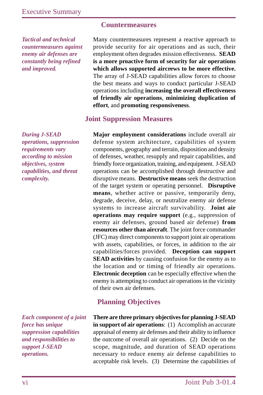*Tactical and technical countermeasures against enemy air defenses are constantly being refined and improved.*

*During J-SEAD operations, suppression requirements vary according to mission objectives, system capabilities, and threat complexity.*

*Each component of a joint force has unique suppression capabilities and responsibilities to support J-SEAD operations.*

**Countermeasures**

Many countermeasures represent a reactive approach to provide security for air operations and as such, their employment often degrades mission effectiveness. **SEAD is a more proactive form of security for air operations which allows supported aircrews to be more effective.** The array of J-SEAD capabilities allow forces to choose the best means and ways to conduct particular J-SEAD operations including **increasing the overall effectiveness of friendly air operations**, **minimizing duplication of effort**, and **promoting responsiveness**.

## **Joint Suppression Measures**

**Major employment considerations** include overall air defense system architecture, capabilities of system components, geography and terrain, disposition and density of defenses, weather, resupply and repair capabilities, and friendly force organization, training, and equipment. J-SEAD operations can be accomplished through destructive and disruptive means. **Destructive means** seek the destruction of the target system or operating personnel. **Disruptive means**, whether active or passive, temporarily deny, degrade, deceive, delay, or neutralize enemy air defense systems to increase aircraft survivability. **Joint air operations may require support** (e.g., suppression of enemy air defenses, ground based air defense) **from resources other than aircraft**. The joint force commander (JFC) may direct components to support joint air operations with assets, capabilities, or forces, in addition to the air capabilities/forces provided. **Deception can support SEAD activities** by causing confusion for the enemy as to the location and or timing of friendly air operations. **Electronic deception** can be especially effective when the enemy is attempting to conduct air operations in the vicinity of their own air defenses.

## **Planning Objectives**

**There are three primary objectives for planning J-SEAD in support of air operations**: (1) Accomplish an accurate appraisal of enemy air defenses and their ability to influence the outcome of overall air operations. (2) Decide on the scope, magnitude, and duration of SEAD operations necessary to reduce enemy air defense capabilities to acceptable risk levels. (3) Determine the capabilities of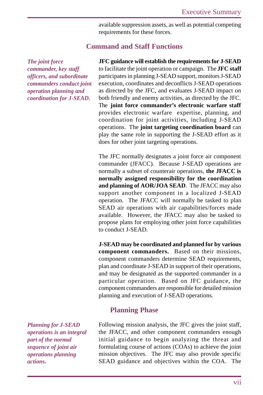available suppression assets, as well as potential competing requirements for these forces.

### **Command and Staff Functions**

*The joint force commander, key staff officers, and subordinate commanders conduct joint operation planning and coordination for J-SEAD.*

**JFC guidance will establish the requirements for J-SEAD** to facilitate the joint operation or campaign. The **JFC staff** participates in planning J-SEAD support, monitors J-SEAD execution, coordinates and deconflicts J-SEAD operations as directed by the JFC, and evaluates J-SEAD impact on both friendly and enemy activities, as directed by the JFC. The **joint force commander's electronic warfare staff** provides electronic warfare expertise, planning, and coordination for joint activities, including J-SEAD operations. The **joint targeting coordination board** can play the same role in supporting the J-SEAD effort as it does for other joint targeting operations.

The JFC normally designates a joint force air component commander (JFACC). Because J-SEAD operations are normally a subset of counterair operations, **the JFACC is normally assigned responsibility for the coordination and planning of AOR/JOA SEAD**. The JFACC may also support another component in a localized J-SEAD operation. The JFACC will normally be tasked to plan SEAD air operations with air capabilities/forces made available. However, the JFACC may also be tasked to propose plans for employing other joint force capabilities to conduct J-SEAD.

**J-SEAD may be coordinated and planned for by various component commanders.** Based on their missions, component commanders determine SEAD requirements, plan and coordinate J-SEAD in support of their operations, and may be designated as the supported commander in a particular operation. Based on JFC guidance, the component commanders are responsible for detailed mission planning and execution of J-SEAD operations.

### **Planning Phase**

*Planning for J-SEAD operations is an integral part of the normal sequence of joint air operations planning actions.*

Following mission analysis, the JFC gives the joint staff, the JFACC, and other component commanders enough initial guidance to begin analyzing the threat and formulating course of actions (COAs) to achieve the joint mission objectives. The JFC may also provide specific SEAD guidance and objectives within the COA. The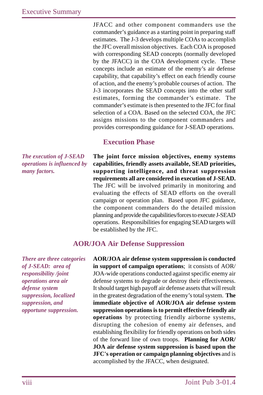JFACC and other component commanders use the commander's guidance as a starting point in preparing staff estimates. The J-3 develops multiple COAs to accomplish the JFC overall mission objectives. Each COA is proposed with corresponding SEAD concepts (normally developed by the JFACC) in the COA development cycle. These concepts include an estimate of the enemy's air defense capability, that capability's effect on each friendly course of action, and the enemy's probable courses of action. The J-3 incorporates the SEAD concepts into the other staff estimates, forming the commander's estimate. The commander's estimate is then presented to the JFC for final selection of a COA. Based on the selected COA, the JFC assigns missions to the component commanders and provides corresponding guidance for J-SEAD operations.

### **Execution Phase**

*The execution of J-SEAD operations is influenced by many factors.*

**The joint force mission objectives, enemy systems capabilities, friendly assets available, SEAD priorities, supporting intelligence, and threat suppression requirements all are considered in execution of J-SEAD.** The JFC will be involved primarily in monitoring and evaluating the effects of SEAD efforts on the overall campaign or operation plan. Based upon JFC guidance, the component commanders do the detailed mission planning and provide the capabilities/forces to execute J-SEAD operations. Responsibilities for engaging SEAD targets will be established by the JFC.

### **AOR/JOA Air Defense Suppression**

*There are three categories of J-SEAD: area of responsibility /joint operations area air defense system suppression, localized suppression, and opportune suppression.*

**AOR/JOA air defense system suppression is conducted in support of campaign operations**; it consists of AOR/ JOA-wide operations conducted against specific enemy air defense systems to degrade or destroy their effectiveness. It should target high payoff air defense assets that will result in the greatest degradation of the enemy's total system. **The immediate objective of AOR/JOA air defense system suppression operations is to permit effective friendly air operations** by protecting friendly airborne systems, disrupting the cohesion of enemy air defenses, and establishing flexibility for friendly operations on both sides of the forward line of own troops. **Planning for AOR/ JOA air defense system suppression is based upon the JFC's operation or campaign planning objectives** and is accomplished by the JFACC, when designated.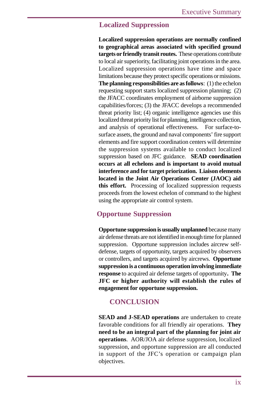### **Localized Suppression**

**Localized suppression operations are normally confined to geographical areas associated with specified ground targets or friendly transit routes.** These operations contribute to local air superiority, facilitating joint operations in the area. Localized suppression operations have time and space limitations because they protect specific operations or missions. **The planning responsibilities are as follows**: (1) the echelon requesting support starts localized suppression planning; (2) the JFACC coordinates employment of airborne suppression capabilities/forces; (3) the JFACC develops a recommended threat priority list; (4) organic intelligence agencies use this localized threat priority list for planning, intelligence collection, and analysis of operational effectiveness. For surface-tosurface assets, the ground and naval components' fire support elements and fire support coordination centers will determine the suppression systems available to conduct localized suppression based on JFC guidance. **SEAD coordination occurs at all echelons and is important to avoid mutual interference and for target priorization. Liaison elements located in the Joint Air Operations Center (JAOC) aid this effort.** Processing of localized suppression requests proceeds from the lowest echelon of command to the highest using the appropriate air control system.

## **Opportune Suppression**

**Opportune suppression is usually unplanned** because many air defense threats are not identified in enough time for planned suppression. Opportune suppression includes aircrew selfdefense, targets of opportunity, targets acquired by observers or controllers, and targets acquired by aircrews. **Opportune suppression is a continuous operation involving immediate response** to acquired air defense targets of opportunity**. The JFC or higher authority will establish the rules of engagement for opportune suppression.**

### **CONCLUSION**

**SEAD and J-SEAD operations** are undertaken to create favorable conditions for all friendly air operations. **They need to be an integral part of the planning for joint air operations**. AOR/JOA air defense suppression, localized suppression, and opportune suppression are all conducted in support of the JFC's operation or campaign plan objectives.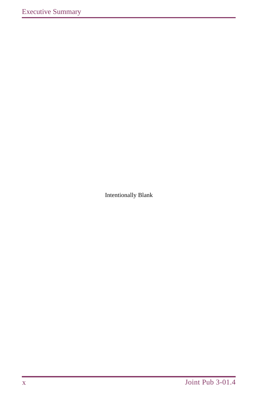Intentionally Blank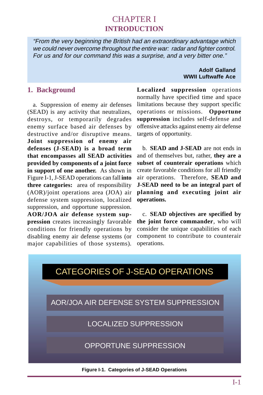## CHAPTER I **INTRODUCTION**

<span id="page-11-0"></span>"From the very beginning the British had an extraordinary advantage which we could never overcome throughout the entire war: radar and fighter control. For us and for our command this was a surprise, and a very bitter one."

#### **Adolf Galland WWII Luftwaffe Ace**

### **1. Background**

a. Suppression of enemy air defenses (SEAD) is any activity that neutralizes, destroys, or temporarily degrades enemy surface based air defenses by destructive and/or disruptive means. **Joint suppression of enemy air defenses (J-SEAD) is a broad term that encompasses all SEAD activities provided by components of a joint force in support of one another.** As shown in Figure I-1, J-SEAD operations can fall **into three categories:** area of responsibility (AOR)/joint operations area (JOA) air defense system suppression, localized suppression, and opportune suppression. **AOR/JOA air defense system suppression** creates increasingly favorable conditions for friendly operations by disabling enemy air defense systems (or major capabilities of those systems).

**Localized suppression** operations normally have specified time and space limitations because they support specific operations or missions. **Opportune suppression** includes self-defense and offensive attacks against enemy air defense targets of opportunity.

b. **SEAD and J-SEAD** are not ends in and of themselves but, rather, **they are a subset of counterair operations** which create favorable conditions for all friendly air operations. Therefore, **SEAD and J-SEAD need to be an integral part of planning and executing joint air operations.**

c. **SEAD objectives are specified by the joint force commander**, who will consider the unique capabilities of each component to contribute to counterair operations.

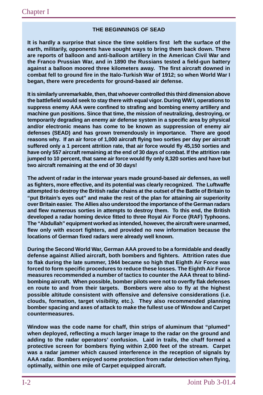#### **THE BEGINNINGS OF SEAD**

**It is hardly a surprise that since the time soldiers first left the surface of the earth, militarily, opponents have sought ways to bring them back down. There are reports of balloon and anti-balloon artillery in the American Civil War and the Franco Prussian War, and in 1890 the Russians tested a field-gun battery against a balloon moored three kilometers away. The first aircraft downed in combat fell to ground fire in the Italo-Turkish War of 1912; so when World War I began, there were precedents for ground-based air defense.**

**It is similarly unremarkable, then, that whoever controlled this third dimension above the battlefield would seek to stay there with equal vigor. During WW I, operations to suppress enemy AAA were confined to strafing and bombing enemy artillery and machine gun positions. Since that time, the mission of neutralizing, destroying, or temporarily degrading an enemy air defense system in a specific area by physical and/or electronic means has come to be known as suppression of enemy air defenses (SEAD) and has grown tremendously in importance. There are good reasons why. If an air force of 1,000 aircraft flying two sorties per day per aircraft suffered only a 1 percent attrition rate, that air force would fly 45,150 sorties and have only 557 aircraft remaining at the end of 30 days of combat. If the attrition rate jumped to 10 percent, that same air force would fly only 8,320 sorties and have but two aircraft remaining at the end of 30 days!**

**The advent of radar in the interwar years made ground-based air defenses, as well as fighters, more effective, and its potential was clearly recognized. The Luftwaffe attempted to destroy the British radar chains at the outset of the Battle of Britain to "put Britain's eyes out" and make the rest of the plan for attaining air superiority over Britain easier. The Allies also understood the importance of the German radars and flew numerous sorties in attempts to destroy them. To this end, the British developed a radar homing device fitted to three Royal Air Force (RAF) Typhoons. The "Abdullah" equipment worked as intended, however, the aircraft were unarmed, flew only with escort fighters, and provided no new information because the locations of German fixed radars were already well known.**

**During the Second World War, German AAA proved to be a formidable and deadly defense against Allied aircraft, both bombers and fighters. Attrition rates due to flak during the late summer, 1944 became so high that Eighth Air Force was forced to form specific procedures to reduce these losses. The Eighth Air Force measures recommended a number of tactics to counter the AAA threat to blindbombing aircraft. When possible, bomber pilots were not to overfly flak defenses en route to and from their targets. Bombers were also to fly at the highest possible altitude consistent with offensive and defensive considerations (i.e. clouds, formation, target visibility, etc.). They also recommended planning bomber spacing and axes of attack to make the fullest use of Window and Carpet countermeasures.**

**Window was the code name for chaff, thin strips of aluminum that "plumed" when deployed, reflecting a much larger image to the radar on the ground and adding to the radar operators' confusion. Laid in trails, the chaff formed a protective screen for bombers flying within 2,000 feet of the stream. Carpet was a radar jammer which caused interference in the reception of signals by AAA radar. Bombers enjoyed some protection from radar detection when flying, optimally, within one mile of Carpet equipped aircraft.**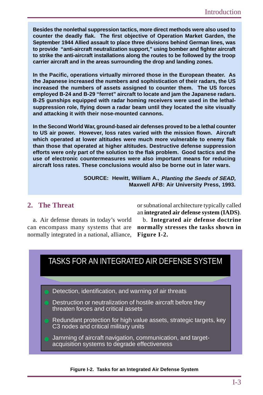**Besides the nonlethal suppression tactics, more direct methods were also used to counter the deadly flak. The first objective of Operation Market Garden, the September 1944 Allied assault to place three divisions behind German lines, was to provide "anti-aircraft neutralization support," using bomber and fighter aircraft to strike the anti-aircraft installations along the routes to be followed by the troop carrier aircraft and in the areas surrounding the drop and landing zones.**

**In the Pacific, operations virtually mirrored those in the European theater. As the Japanese increased the numbers and sophistication of their radars, the US increased the numbers of assets assigned to counter them. The US forces employed B-24 and B-29 "ferret" aircraft to locate and jam the Japanese radars. B-25 gunships equipped with radar homing receivers were used in the lethalsuppression role, flying down a radar beam until they located the site visually and attacking it with their nose-mounted cannons.**

**In the Second World War, ground-based air defenses proved to be a lethal counter to US air power. However, loss rates varied with the mission flown. Aircraft which operated at lower altitudes were much more vulnerable to enemy flak than those that operated at higher altitudes. Destructive defense suppression efforts were only part of the solution to the flak problem. Good tactics and the use of electronic countermeasures were also important means for reducing aircraft loss rates. These conclusions would also be borne out in later wars.**

> **SOURCE: Hewitt, William A., Planting the Seeds of SEAD, Maxwell AFB: Air University Press, 1993.**

### **2. The Threat**

a. Air defense threats in today's world can encompass many systems that are normally integrated in a national, alliance,

or subnational architecture typically called an **integrated air defense system (IADS)**.

b. **Integrated air defense doctrine normally stresses the tasks shown in Figure I-2.**



- Detection, identification, and warning of air threats
- Destruction or neutralization of hostile aircraft before they threaten forces and critical assets
- Redundant protection for high value assets, strategic targets, key C3 nodes and critical military units
- Jamming of aircraft navigation, communication, and targetacquisition systems to degrade effectiveness

#### **Figure I-2. Tasks for an Integrated Air Defense System**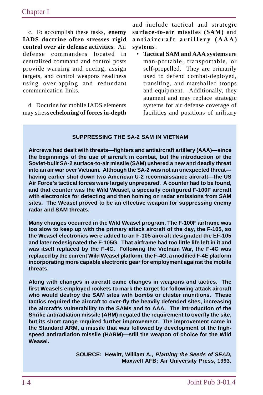c. To accomplish these tasks, **enemy IADS doctrine often stresses rigid control over air defense activities**. Air defense commanders located in centralized command and control posts provide warning and cueing, assign targets, and control weapons readiness using overlapping and redundant communication links.

d. Doctrine for mobile IADS elements may stress **echeloning of forces in-depth**

and include tactical and strategic **surface-to-air missiles (SAM)** and **antiaircraft artillery (AAA) systems**.

• **Tactical SAM and AAA systems** are man-portable, transportable, or self-propelled. They are primarily used to defend combat-deployed, transiting, and marshalled troops and equipment. Additionally, they augment and may replace strategic systems for air defense coverage of facilities and positions of military

### **SUPPRESSING THE SA-2 SAM IN VIETNAM**

**Aircrews had dealt with threats—fighters and antiaircraft artillery (AAA)—since the beginnings of the use of aircraft in combat, but the introduction of the Soviet-built SA-2 surface-to-air missile (SAM) ushered a new and deadly threat into an air war over Vietnam. Although the SA-2 was not an unexpected threat having earlier shot down two American U-2 reconnaissance aircraft—the US Air Force's tactical forces were largely unprepared. A counter had to be found, and that counter was the Wild Weasel, a specially configured F-100F aircraft with electronics for detecting and then homing on radar emissions from SAM sites. The Weasel proved to be an effective weapon for suppressing enemy radar and SAM threats.**

**Many changes occurred in the Wild Weasel program. The F-100F airframe was too slow to keep up with the primary attack aircraft of the day, the F-105, so the Weasel electronics were added to an F-105 aircraft designated the EF-105 and later redesignated the F-105G. That airframe had too little life left in it and was itself replaced by the F-4C. Following the Vietnam War, the F-4C was replaced by the current Wild Weasel platform, the F-4G, a modified F-4E platform incorporating more capable electronic gear for employment against the mobile threats.**

**Along with changes in aircraft came changes in weapons and tactics. The first Weasels employed rockets to mark the target for following attack aircraft who would destroy the SAM sites with bombs or cluster munitions. These tactics required the aircraft to over-fly the heavily defended sites, increasing the aircraft's vulnerability to the SAMs and to AAA. The introduction of the Shrike antiradiation missile (ARM) negated the requirement to overfly the site, but its short range required further improvement. The improvement came in the Standard ARM, a missile that was followed by development of the highspeed antiradiation missile (HARM)—still the weapon of choice for the Wild Weasel.**

> **SOURCE: Hewitt, William A., Planting the Seeds of SEAD, Maxwell AFB: Air University Press, 1993.**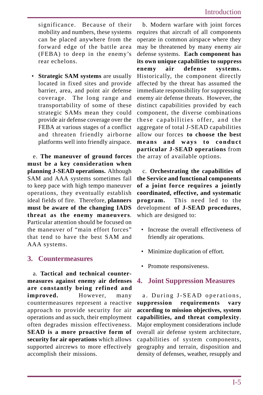<span id="page-15-0"></span>significance. Because of their mobility and numbers, these systems can be placed anywhere from the forward edge of the battle area (FEBA) to deep in the enemy's rear echelons.

• **Strategic SAM systems** are usually located in fixed sites and provide barrier, area, and point air defense coverage. The long range and transportability of some of these strategic SAMs mean they could provide air defense coverage over the FEBA at various stages of a conflict and threaten friendly airborne platforms well into friendly airspace.

e. **The maneuver of ground forces must be a key consideration when planning J-SEAD operations.** Although SAM and AAA systems sometimes fail to keep pace with high tempo maneuver operations, they eventually establish ideal fields of fire. Therefore, **planners must be aware of the changing IADS threat as the enemy maneuvers**. Particular attention should be focused on the maneuver of "main effort forces" that tend to have the best SAM and AAA systems.

### **3. Countermeasures**

a. **Tactical and technical countermeasures against enemy air defenses are constantly being refined and improved.** However, many countermeasures represent a reactive approach to provide security for air operations and as such, their employment often degrades mission effectiveness. **SEAD is a more proactive form of security for air operations** which allows supported aircrews to more effectively accomplish their missions.

b. Modern warfare with joint forces requires that aircraft of all components operate in common airspace where they may be threatened by many enemy air defense systems. **Each component has its own unique capabilities to suppress enemy air defense systems.** Historically, the component directly affected by the threat has assumed the immediate responsibility for suppressing enemy air defense threats. However, the distinct capabilities provided by each component, the diverse combinations these capabilities offer, and the aggregate of total J-SEAD capabilities allow our forces **to choose the best means and ways to conduct particular J-SEAD operations** from the array of available options.

c. **Orchestrating the capabilities of the Service and functional components of a joint force requires a jointly coordinated, effective, and systematic program.** This need led to the development **of J-SEAD procedures**, which are designed to:

- Increase the overall effectiveness of friendly air operations.
- Minimize duplication of effort.
- Promote responsiveness.

### **4. Joint Suppression Measures**

a. During J-SEAD operations, **suppression requirements vary according to mission objectives, system capabilities, and threat complexity**. Major employment considerations include overall air defense system architecture, capabilities of system components, geography and terrain, disposition and density of defenses, weather, resupply and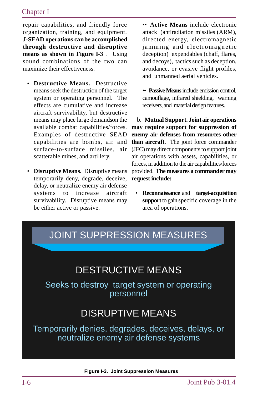### <span id="page-16-0"></span>Chapter I

repair capabilities, and friendly force organization, training, and equipment. **J-SEAD operations can be accomplished through destructive and disruptive means as shown in Figure I-3** . Using sound combinations of the two can maximize their effectiveness.

- **Destructive Means.** Destructive means seek the destruction of the target system or operating personnel. The effects are cumulative and increase aircraft survivability, but destructive means may place large demandson the available combat capabilities/forces. Examples of destructive SEAD capabilities are bombs, air and surface-to-surface missiles, air scatterable mines, and artillery.
- **Disruptive Means.** Disruptive means temporarily deny, degrade, deceive, delay, or neutralize enemy air defense systems to increase aircraft survivability. Disruptive means may be either active or passive.

•• **Active Means** include electronic attack (antiradiation missiles (ARM), directed energy, electromagnetic jamming and electromagnetic deception) expendables (chaff, flares, and decoys), tactics such as deception, avoidance, or evasive flight profiles, and unmanned aerial vehicles.

•• **Passive Means** include emission control, camouflage, infrared shielding, warning receivers, and material design features.

b. **Mutual Support. Joint air operations may require support for suppression of enemy air defenses from resources other than aircraft.** The joint force commander (JFC) may direct components to support joint air operations with assets, capabilities, or forces, in addition to the air capabilities/forces provided. **The measures a commander may request include:**

• **Reconnaissance** and **target-acquisition support** to gain specific coverage in the area of operations.

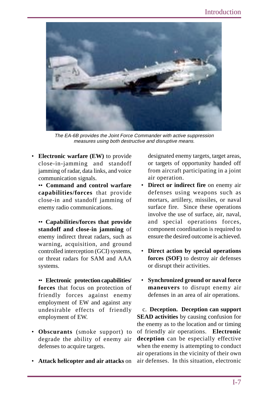

The EA-6B provides the Joint Force Commander with active suppression measures using both destructive and disruptive means.

• **Electronic warfare (EW)** to provide close-in-jamming and standoff jamming of radar, data links, and voice communication signals.

•• **Command and control warfare capabilities/forces** that provide close-in and standoff jamming of enemy radio communications.

•• **Capabilities/forces that provide standoff and close-in jamming** of enemy indirect threat radars, such as warning, acquisition, and ground controlled interception (GCI) systems, or threat radars for SAM and AAA systems.

•• **Electronic protection capabilities/ forces** that focus on protection of friendly forces against enemy employment of EW and against any undesirable effects of friendly employment of EW.

- **Obscurants** (smoke support) to degrade the ability of enemy air defenses to acquire targets.
- **Attack helicopter and air attacks** on

designated enemy targets, target areas, or targets of opportunity handed off from aircraft participating in a joint air operation.

- **Direct or indirect fire** on enemy air defenses using weapons such as mortars, artillery, missiles, or naval surface fire. Since these operations involve the use of surface, air, naval, and special operations forces, component coordination is required to ensure the desired outcome is achieved.
- **Direct action by special operations forces (SOF)** to destroy air defenses or disrupt their activities.
- **Synchronized ground or naval force maneuvers** to disrupt enemy air defenses in an area of air operations.

c. **Deception. Deception can support SEAD activities** by causing confusion for the enemy as to the location and or timing of friendly air operations. **Electronic deception** can be especially effective when the enemy is attempting to conduct air operations in the vicinity of their own air defenses. In this situation, electronic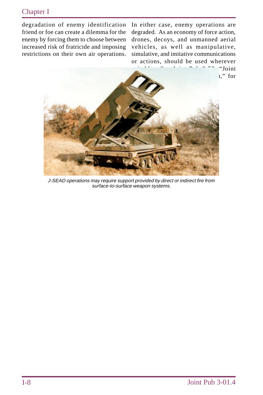degradation of enemy identification friend or foe can create a dilemma for the enemy by forcing them to choose between increased risk of fratricide and imposing restrictions on their own air operations. In either case, enemy operations are degraded. As an economy of force action, drones, decoys, and unmanned aerial vehicles, as well as manipulative, simulative, and imitative communications or actions, should be used wherever "Joint



J-SEAD operations may require support provided by direct or indirect fire from surface-to-surface weapon systems.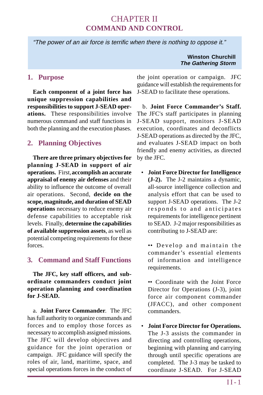## CHAPTER II **COMMAND AND CONTROL**

<span id="page-19-0"></span>"The power of an air force is terrific when there is nothing to oppose it."

### **1. Purpose**

**Each component of a joint force has unique suppression capabilities and responsibilities to support J-SEAD operations.** These responsibilities involve numerous command and staff functions in both the planning and the execution phases.

### **2. Planning Objectives**

**There are three primary objectives for planning J-SEAD in support of air operations.** First, **accomplish an accurate appraisal of enemy air defenses** and their ability to influence the outcome of overall air operations. Second, **decide on the scope, magnitude, and duration of SEAD operations** necessary to reduce enemy air defense capabilities to acceptable risk levels. Finally, **determine the capabilities of available suppression assets**, as well as potential competing requirements for these forces.

### **3. Command and Staff Functions**

**The JFC, key staff officers, and subordinate commanders conduct joint operation planning and coordination for J-SEAD.**

a. **Joint Force Commander**. The JFC has full authority to organize commands and forces and to employ those forces as necessary to accomplish assigned missions. The JFC will develop objectives and guidance for the joint operation or campaign. JFC guidance will specify the roles of air, land, maritime, space, and special operations forces in the conduct of

#### **Winston Churchill The Gathering Storm**

the joint operation or campaign. JFC guidance will establish the requirements for J-SEAD to facilitate these operations.

b. **Joint Force Commander's Staff.** The JFC's staff participates in planning J-SEAD support, monitors J-SEAD execution, coordinates and deconflicts J-SEAD operations as directed by the JFC, and evaluates J-SEAD impact on both friendly and enemy activities, as directed by the JFC.

• **Joint Force Director for Intelligence (J-2).** The J-2 maintains a dynamic, all-source intelligence collection and analysis effort that can be used to support J-SEAD operations. The J-2 responds to and anticipates requirements for intelligence pertinent to SEAD. J-2 major responsibilities as contributing to J-SEAD are:

•• Develop and maintain the commander's essential elements of information and intelligence requirements.

•• Coordinate with the Joint Force Director for Operations (J-3), joint force air component commander (JFACC), and other component commanders.

• **Joint Force Director for Operations.** The J-3 assists the commander in directing and controlling operations, beginning with planning and carrying through until specific operations are completed. The J-3 may be tasked to coordinate J-SEAD. For J-SEAD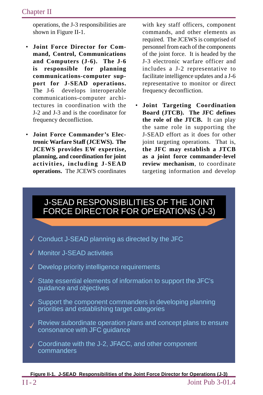operations, the J-3 responsibilities are shown in Figure II-1.

- **Joint Force Director for Command, Control, Communications and Computers (J-6). The J-6 is responsible for planning communications-computer support for J-SEAD operations.** The J-6 develops interoperable communications-computer architectures in coordination with the J-2 and J-3 and is the coordinator for frequency deconfliction.
- **Joint Force Commander's Electronic Warfare Staff (JCEWS). The JCEWS provides EW expertise, planning, and coordination for joint activities, including J-SEAD operations.** The JCEWS coordinates

with key staff officers, component commands, and other elements as required. The JCEWS is comprised of personnel from each of the components of the joint force. It is headed by the J-3 electronic warfare officer and includes a J-2 representative to facilitate intelligence updates and a J-6 representative to monitor or direct frequency deconfliction.

• **Joint Targeting Coordination Board (JTCB). The JFC defines the role of the JTCB.** It can play the same role in supporting the J-SEAD effort as it does for other joint targeting operations. That is, **the JFC may establish a JTCB as a joint force commander-level review mechanism**, to coordinate targeting information and develop

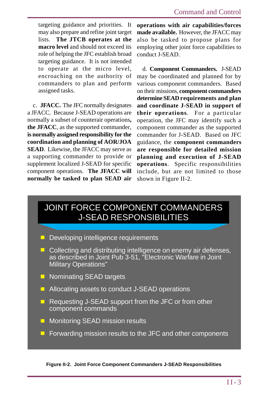targeting guidance and priorities. It may also prepare and refine joint target lists. **The JTCB operates at the macro level** and should not exceed its role of helping the JFC establish broad targeting guidance. It is not intended to operate at the micro level, encroaching on the authority of commanders to plan and perform assigned tasks.

c. **JFACC.** The JFC normally designates a JFACC. Because J-SEAD operations are normally a subset of counterair operations**, the JFACC**, as the supported commander, **is normally assigned responsibility for the coordination and planning of AOR/JOA SEAD.** Likewise, the JFACC may serve as a supporting commander to provide or supplement localized J-SEAD for specific component operations. **The JFACC will normally be tasked to plan SEAD air** **operations with air capabilities/forces made available.** However, the JFACC may also be tasked to propose plans for employing other joint force capabilities to conduct J-SEAD.

d. **Component Commanders.** J-SEAD may be coordinated and planned for by various component commanders. Based on their missions, **component commanders determine SEAD requirements and plan and coordinate J-SEAD in support of their operations**. For a particular operation, the JFC may identify such a component commander as the supported commander for J-SEAD. Based on JFC guidance, the **component commanders are responsible for detailed mission planning and execution of J-SEAD operations**. Specific responsibilities include, but are not limited to those shown in Figure II-2.

## JOINT FORCE COMPONENT COMMANDERS J-SEAD RESPONSIBILITIES

- Developing intelligence requirements
- Collecting and distributing intelligence on enemy air defenses, as described in Joint Pub 3-51, "Electronic Warfare in Joint Military Operations"
- Nominating SEAD targets
- $\Box$ Allocating assets to conduct J-SEAD operations
- $\blacksquare$  Requesting J-SEAD support from the JFC or from other component commands
- **Monitoring SEAD mission results**
- $\blacksquare$  Forwarding mission results to the JFC and other components

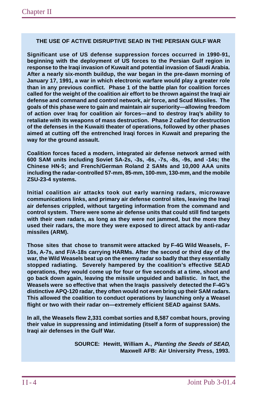#### **THE USE OF ACTIVE DISRUPTIVE SEAD IN THE PERSIAN GULF WAR**

**Significant use of US defense suppression forces occurred in 1990-91, beginning with the deployment of US forces to the Persian Gulf region in response to the Iraqi invasion of Kuwait and potential invasion of Saudi Arabia. After a nearly six-month buildup, the war began in the pre-dawn morning of January 17, 1991, a war in which electronic warfare would play a greater role than in any previous conflict. Phase 1 of the battle plan for coalition forces called for the weight of the coalition air effort to be thrown against the Iraqi air defense and command and control network, air force, and Scud Missiles. The goals of this phase were to gain and maintain air superiority—allowing freedom of action over Iraq for coalition air forces—and to destroy Iraq's ability to retaliate with its weapons of mass destruction. Phase 2 called for destruction of the defenses in the Kuwaiti theater of operations, followed by other phases aimed at cutting off the entrenched Iraqi forces in Kuwait and preparing the way for the ground assault.**

**Coalition forces faced a modern, integrated air defense network armed with 600 SAM units including Soviet SA-2s, -3s, -6s, -7s, -8s, -9s, and -14s; the Chinese HN-5; and French/German Roland 2 SAMs and 10,000 AAA units including the radar-controlled 57-mm, 85-mm, 100-mm, 130-mm, and the mobile ZSU-23-4 systems.**

**Initial coalition air attacks took out early warning radars, microwave communications links, and primary air defense control sites, leaving the Iraqi air defenses crippled, without targeting information from the command and control system. There were some air defense units that could still find targets with their own radars, as long as they were not jammed, but the more they used their radars, the more they were exposed to direct attack by anti-radar missiles (ARM).**

**Those sites that chose to transmit were attacked by F-4G Wild Weasels, F-16s, A-7s, and F/A-18s carrying HARMs. After the second or third day of the war, the Wild Weasels beat up on the enemy radar so badly that they essentially stopped radiating. Severely hampered by the coalition's effective SEAD operations, they would come up for four or five seconds at a time, shoot and go back down again, leaving the missile unguided and ballistic. In fact, the Weasels were so effective that when the Iraqis passively detected the F-4G's distinctive APQ-120 radar, they often would not even bring up their SAM radars. This allowed the coalition to conduct operations by launching only a Weasel flight or two with their radar on—extremely efficient SEAD against SAMs.**

**In all, the Weasels flew 2,331 combat sorties and 8,587 combat hours, proving their value in suppressing and intimidating (itself a form of suppression) the Iraqi air defenses in the Gulf War.**

> **SOURCE: Hewitt, William A., Planting the Seeds of SEAD, Maxwell AFB: Air University Press, 1993.**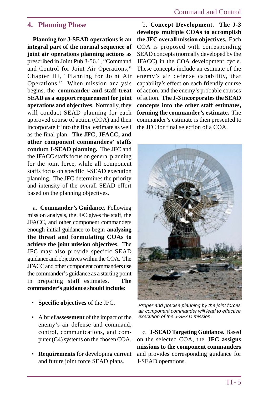## **4. Planning Phase**

**Planning for J-SEAD operations is an integral part of the normal sequence of joint air operations planning actions** as prescribed in Joint Pub 3-56.1, "Command and Control for Joint Air Operations," Chapter III, "Planning for Joint Air Operations." When mission analysis begins, the **commander and staff treat SEAD as a support requirement for joint operations and objectives**. Normally, they will conduct SEAD planning for each approved course of action (COA) and then incorporate it into the final estimate as well as the final plan. **The JFC, JFACC, and other component commanders' staffs conduct J-SEAD planning.** The JFC and the JFACC staffs focus on general planning for the joint force, while all component staffs focus on specific J-SEAD execution planning. The JFC determines the priority and intensity of the overall SEAD effort based on the planning objectives.

a. **Commander's Guidance.** Following mission analysis, the JFC gives the staff, the JFACC, and other component commanders enough initial guidance to begin **analyzing the threat and formulating COAs to achieve the joint mission objectives**. The JFC may also provide specific SEAD guidance and objectives within the COA. The JFACC and other component commanders use the commander's guidance as a starting point in preparing staff estimates. **The commander's guidance should include:**

- **Specific objectives** of the JFC.
- A brief **assessment** of the impact of the enemy's air defense and command, control, communications, and computer (C4) systems on the chosen COA.
- **Requirements** for developing current and future joint force SEAD plans.

b. **Concept Development. The J-3 develops multiple COAs to accomplish the JFC overall mission objectives.** Each COA is proposed with corresponding SEAD concepts (normally developed by the JFACC) in the COA development cycle. These concepts include an estimate of the enemy's air defense capability, that capability's effect on each friendly course of action, and the enemy's probable courses of action. **The J-3 incorporates the SEAD concepts into the other staff estimates, forming the commander's estimate.** The commander's estimate is then presented to the JFC for final selection of a COA.



Proper and precise planning by the joint forces air component commander will lead to effective execution of the J-SEAD mission.

c. **J-SEAD Targeting Guidance.** Based on the selected COA, the **JFC assigns missions to the component commanders** and provides corresponding guidance for J-SEAD operations.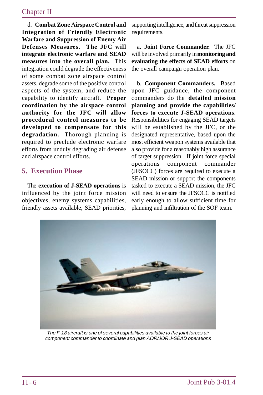<span id="page-24-0"></span>d. **Combat Zone Airspace Control and Integration of Friendly Electronic Warfare and Suppression of Enemy Air Defenses Measures**. **The JFC will integrate electronic warfare and SEAD measures into the overall plan.** This integration could degrade the effectiveness of some combat zone airspace control assets, degrade some of the positive control aspects of the system, and reduce the capability to identify aircraft. **Proper coordination by the airspace control authority for the JFC will allow procedural control measures to be developed to compensate for this degradation.** Thorough planning is required to preclude electronic warfare efforts from unduly degrading air defense and airspace control efforts.

### **5. Execution Phase**

The **execution of J-SEAD operations** is influenced by the joint force mission objectives, enemy systems capabilities, friendly assets available, SEAD priorities, supporting intelligence, and threat suppression requirements.

a. **Joint Force Commander.** The JFC will be involved primarily in **monitoring and evaluating the effects of SEAD efforts** on the overall campaign operation plan.

b. **Component Commanders.** Based upon JFC guidance, the component commanders do the **detailed mission planning and provide the capabilities/ forces to execute J-SEAD operations**. Responsibilities for engaging SEAD targets will be established by the JFC, or the designated representative, based upon the most efficient weapon systems available that also provide for a reasonably high assurance of target suppression. If joint force special operations component commander (JFSOCC) forces are required to execute a SEAD mission or support the components tasked to execute a SEAD mission, the JFC will need to ensure the JFSOCC is notified early enough to allow sufficient time for planning and infiltration of the SOF team.



The F-18 aircraft is one of several capabilities available to the joint forces air component commander to coordinate and plan AOR/JOR J-SEAD operations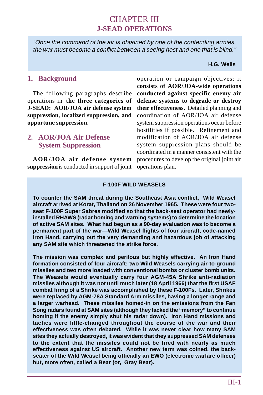## CHAPTER III **J-SEAD OPERATIONS**

<span id="page-25-0"></span>"Once the command of the air is obtained by one of the contending armies, the war must become a conflict between a seeing host and one that is blind."

#### **H.G. Wells**

### **1. Background**

The following paragraphs describe operations in **the three categories of J-SEAD: AOR/JOA air defense system suppression, localized suppression, and opportune suppression**.

### **2. AOR/JOA Air Defense System Suppression**

**AOR/JOA air defense system suppression** is conducted in support of joint

operation or campaign objectives; it **consists of AOR/JOA-wide operations conducted against specific enemy air defense systems to degrade or destroy their effectiveness**. Detailed planning and coordination of AOR/JOA air defense system suppression operations occur before hostilities if possible. Refinement and modification of AOR/JOA air defense system suppression plans should be coordinated in a manner consistent with the procedures to develop the original joint air operations plan.

#### **F-100F WILD WEASELS**

**To counter the SAM threat during the Southeast Asia conflict, Wild Weasel aircraft arrived at Korat, Thailand on 26 November 1965. These were four twoseat F-100F Super Sabres modified so that the back-seat operator had newlyinstalled RHAWS (radar homing and warning systems) to determine the location of active SAM sites. What had begun as a 90-day evaluation was to become a permanent part of the war—Wild Weasel flights of four aircraft, code-named Iron Hand, carrying out the very demanding and hazardous job of attacking any SAM site which threatened the strike force.**

**The mission was complex and perilous but highly effective. An Iron Hand formation consisted of four aircraft: two Wild Weasels carrying air-to-ground missiles and two more loaded with conventional bombs or cluster bomb units. The Weasels would eventually carry four AGM-45A Shrike anti-radiation missiles although it was not until much later (18 April 1966) that the first USAF combat firing of a Shrike was accomplished by these F-100Fs. Later, Shrikes were replaced by AGM-78A Standard Arm missiles, having a longer range and a larger warhead. These missiles homed-in on the emissions from the Fan Song radars found at SAM sites (although they lacked the "memory" to continue homing if the enemy simply shut his radar down). Iron Hand missions and tactics were little-changed throughout the course of the war and their effectiveness was often debated. While it was never clear how many SAM sites they actually destroyed, it was evident that they suppressed SAM defenses to the extent that the missiles could not be fired with nearly as much effectiveness against US aircraft. Another new term was coined, the backseater of the Wild Weasel being officially an EWO (electronic warfare officer) but, more often, called a Bear (or, Gray Bear).**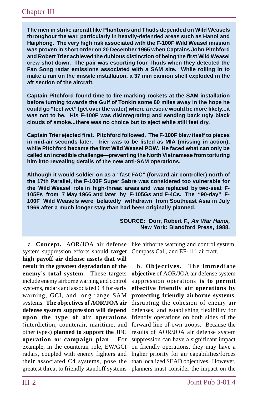**The men in strike aircraft like Phantoms and Thuds depended on Wild Weasels throughout the war, particularly in heavily-defended areas such as Hanoi and Haiphong. The very high risk associated with the F-100F Wild Weasel mission was proven in short order on 20 December 1965 when Captains John Pitchford and Robert Trier achieved the dubious distinction of being the first Wild Weasel crew shot down. The pair was escorting four Thuds when they detected the Fan Song radar emissions associated with a SAM site. While rolling in to make a run on the missile installation, a 37 mm cannon shell exploded in the aft section of the aircraft.**

**Captain Pitchford found time to fire marking rockets at the SAM installation before turning towards the Gulf of Tonkin some 60 miles away in the hope he could go "feet wet" (get over the water) where a rescue would be more likely...it was not to be. His F-100F was disintegrating and sending back ugly black clouds of smoke...there was no choice but to eject while still feet dry.**

**Captain Trier ejected first. Pitchford followed. The F-100F blew itself to pieces in mid-air seconds later. Trier was to be listed as MIA (missing in action), while Pitchford became the first Wild Weasel POW. He faced what can only be called an incredible challenge—preventing the North Vietnamese from torturing him into revealing details of the new anti-SAM operations.**

**Although it would soldier on as a "fast FAC" (forward air controller) north of the 17th Parallel, the F-100F Super Sabre was considered too vulnerable for the Wild Weasel role in high-threat areas and was replaced by two-seat F-105Fs from 7 May 1966 and later by F-105Gs and F-4Cs. The "90-day" F-100F Wild Weasels were belatedly withdrawn from Southeast Asia in July 1966 after a much longer stay than had been originally planned.**

> **SOURCE: Dorr, Robert F., Air War Hanoi, New York: Blandford Press, 1988.**

system suppression efforts should target Compass Call, and EF-111 aircraft. **objective** of AOR/JOA air defense system **enemy's total system**. These targets their associated C4 systems, pose the than localized SEAD objectives. However, **high payoff air defense assets that will result in the greatest degradation of the** include enemy airborne warning and control systems, radars and associated C4 for early warning, GCI, and long range SAM systems. **The objectives of AOR/JOA air defense system suppression will depend upon the type of air operations** (interdiction, counterair, maritime, and other types) **planned to support the JFC operation or campaign plan**. For example, in the counterair role, EW/GCI radars, coupled with enemy fighters and

a. **Concept.** AOR/JOA air defense like airborne warning and control system,

b. **Objectives.** The **immediate** suppression operations **is to permit effective friendly air operations by protecting friendly airborne systems**, disrupting the cohesion of enemy air defenses, and establishing flexibility for friendly operations on both sides of the forward line of own troops. Because the results of AOR/JOA air defense system suppression can have a significant impact on friendly operations, they may have a higher priority for air capabilities/forces greatest threat to friendly standoff systems planners must consider the impact on the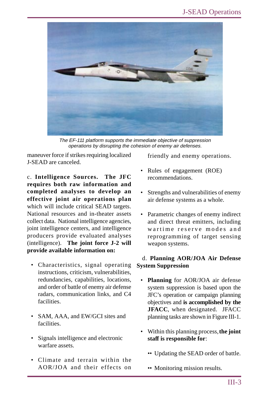

The EF-111 platform supports the immediate objective of suppression operations by disrupting the cohesion of enemy air defenses.

maneuver force if strikes requiring localized J-SEAD are canceled.

c. **Intelligence Sources. The JFC requires both raw information and completed analyses to develop an effective joint air operations plan** which will include critical SEAD targets. National resources and in-theater assets collect data. National intelligence agencies, joint intelligence centers, and intelligence producers provide evaluated analyses (intelligence). **The joint force J-2 will provide available information on:**

- Characteristics, signal operating instructions, criticism, vulnerabilities, redundancies, capabilities, locations, and order of battle of enemy air defense radars, communication links, and C4 facilities.
- SAM, AAA, and EW/GCI sites and facilities.
- Signals intelligence and electronic warfare assets.
- Climate and terrain within the AOR/JOA and their effects on

friendly and enemy operations.

- Rules of engagement (ROE) recommendations.
- Strengths and vulnerabilities of enemy air defense systems as a whole.
- Parametric changes of enemy indirect and direct threat emitters, including wartime reserve modes and reprogramming of target sensing weapon systems.

### d. **Planning AOR/JOA Air Defense System Suppression**

- **Planning** for AOR/JOA air defense system suppression is based upon the JFC's operation or campaign planning objectives and **is accomplished by the JFACC**, when designated. JFACC planning tasks are shown in Figure III-1.
- Within this planning process, **the joint staff is responsible for**:
	- •• Updating the SEAD order of battle.
	- •• Monitoring mission results.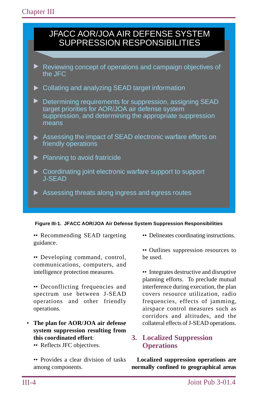

#### **Figure III-1. JFACC AOR/JOA Air Defense System Suppression Responsibilities**

•• Recommending SEAD targeting guidance.

•• Developing command, control, communications, computers, and intelligence protection measures.

•• Deconflicting frequencies and spectrum use between J-SEAD operations and other friendly operations.

- **The plan for AOR/JOA air defense system suppression resulting from this coordinated effort**:
	- Reflects JFC objectives.

•• Provides a clear division of tasks among components.

- Delineates coordinating instructions.
- •• Outlines suppression resources to be used.
- •• Integrates destructive and disruptive planning efforts. To preclude mutual interference during execution, the plan covers resource utilization, radio frequencies, effects of jamming, airspace control measures such as corridors and altitudes, and the collateral effects of J-SEAD operations.

### **3. Localized Suppression Operations**

**Localized suppression operations are normally confined to geographical areas**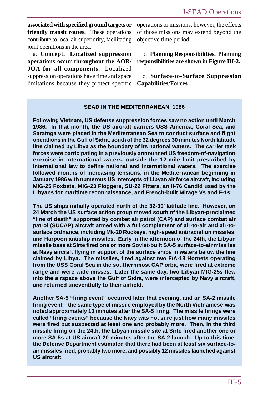**associated with specified ground targets or friendly transit routes.** These operations contribute to local air superiority, facilitating joint operations in the area.

a. **Concept. Localized suppression operations occur throughout the AOR/ JOA for all components.** Localized suppression operations have time and space limitations because they protect specific **Capabilities/Forces**

operations or missions; however, the effects of those missions may extend beyond the objective time period.

b. **Planning Responsibilities. Planning responsibilities are shown in Figure III-2.**

c. **Surface-to-Surface Suppression**

#### **SEAD IN THE MEDITERRANEAN, 1986**

**Following Vietnam, US defense suppression forces saw no action until March 1986. In that month, the US aircraft carriers USS America, Coral Sea, and Saratoga were placed in the Mediterranean Sea to conduct surface and flight operations in the Gulf of Sidra, south of the 32 degrees 30 minutes North latitude line claimed by Libya as the boundary of its national waters. The carrier task forces were participating in a previously announced US freedom-of-navigation exercise in international waters, outside the 12-mile limit prescribed by international law to define national and international waters. The exercise followed months of increasing tensions, in the Mediterranean beginning in January 1986 with numerous US intercepts of Libyan air force aircraft, including MIG-25 Foxbats, MIG-23 Floggers, SU-22 Fitters, an Il-76 Candid used by the Libyans for maritime reconnaissance, and French-built Mirage Vs and F-1s.**

**The US ships initially operated north of the 32-30' latitude line. However, on 24 March the US surface action group moved south of the Libyan-proclaimed "line of death" supported by combat air patrol (CAP) and surface combat air patrol (SUCAP) aircraft armed with a full complement of air-to-air and air-tosurface ordnance, including Mk-20 Rockeye, high-speed antiradiation missiles, and Harpoon antiship missiles. Early in the afternoon of the 24th, the Libyan missile base at Sirte fired one or more Soviet-built SA-5 surface-to-air missiles at Navy aircraft flying in support of the surface ships in waters below the line claimed by Libya. The missiles, fired against two F/A-18 Hornets operating from the USS Coral Sea in the southernmost CAP orbit, were fired at extreme range and were wide misses. Later the same day, two Libyan MIG-25s flew into the airspace above the Gulf of Sidra, were intercepted by Navy aircraft, and returned uneventfully to their airfield.**

**Another SA-5 "firing event" occurred later that evening, and an SA-2 missile firing event—the same type of missile employed by the North Vietnamese-was noted approximately 10 minutes after the SA-5 firing. The missile firings were called "firing events" because the Navy was not sure just how many missiles were fired but suspected at least one and probably more. Then, in the third missile firing on the 24th, the Libyan missile site at Sirte fired another one or more SA-5s at US aircraft 20 minutes after the SA-2 launch. Up to this time, the Defense Department estimated that there had been at least six surface-toair missiles fired, probably two more, and possibly 12 missiles launched against US aircraft.**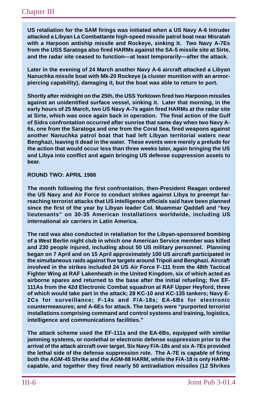**US retaliation for the SAM firings was initiated when a US Navy A-6 Intruder attacked a Libyan La Combattante high-speed missile patrol boat near Misratah with a Harpoon antiship missile and Rockeye, sinking it. Two Navy A-7Es from the USS Saratoga also fired HARMs against the SA-5 missile site at Sirte, and the radar site ceased to function—at least temporarily—after the attack.**

**Later in the evening of 24 March another Navy A-6 aircraft attacked a Libyan Nanuchka missile boat with Mk-20 Rockeye (a cluster munition with an armorpiercing capability), damaging it, but the boat was able to return to port.**

**Shortly after midnight on the 25th, the USS Yorktown fired two Harpoon missiles against an unidentified surface vessel, sinking it. Later that morning, in the early hours of 25 March, two US Navy A-7s again fired HARMs at the radar site at Sirte, which was once again back in operation. The final action of the Gulf of Sidra confrontation occurred after sunrise that same day when two Navy A-6s, one from the Saratoga and one from the Coral Sea, fired weapons against another Nanuchka patrol boat that had left Libyan territorial waters near Benghazi, leaving it dead in the water. These events were merely a prelude for the action that would occur less than three weeks later, again bringing the US and Libya into conflict and again bringing US defense suppression assets to bear.**

#### **ROUND TWO: APRIL 1986**

**The month following the first confrontation, then-President Reagan ordered the US Navy and Air Force to conduct strikes against Libya to preempt farreaching terrorist attacks that US intelligence officials said have been planned since the first of the year by Libyan leader Col. Muammar Qaddafi and "key lieutenants" on 30-35 American installations worldwide, including US international air carriers in Latin America.**

**The raid was also conducted in retaliation for the Libyan-sponsored bombing of a West Berlin night club in which one American Service member was killed and 230 people injured, including about 50 US military personnel. Planning began on 7 April and on 15 April approximately 100 US aircraft participated in the simultaneous raids against five targets around Tripoli and Benghazi. Aircraft involved in the strikes included 24 US Air Force F-111 from the 48th Tactical Fighter Wing at RAF Lakenheath in the United Kingdom, six of which acted as airborne spares and returned to the base after the initial refueling; five EF-111As from the 42d Electronic Combat squadron at RAF Upper Heyford, three of which would take part in the attack; 28 KC-10 and KC-135 tankers; Navy E-2Cs for surveillance; F-14s and F/A-18s; EA-6Bs for electronic countermeasures; and A-6Es for attack. The targets were "purported terrorist installations comprising command and control systems and training, logistics, intelligence and communications facilities."**

**The attack scheme used the EF-111s and the EA-6Bs, equipped with similar jamming systems, or nonlethal or electronic defense suppression prior to the arrival of the attack aircraft over target. Six Navy F/A-18s and six A-7Es provided the lethal side of the defense suppression role. The A-7E is capable of firing both the AGM-45 Shrike and the AGM-88 HARM, while the F/A-18 is only HARMcapable, and together they fired nearly 50 antiradiation missiles (12 Shrikes**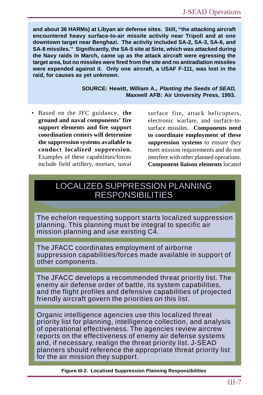**and about 36 HARMs) at Libyan air defense sites. Still, "the attacking aircraft encountered heavy surface-to-air missile activity near Tripoli and at one downtown target near Benghazi. The activity included SA-2, SA-3, SA-6, and SA-8 missiles.'' Significantly, the SA-5 site at Sirte, which was attacked during the Navy raids in March, came up as the attack aircraft were egressing the target area, but no missiles were fired from the site and no antiradiation missiles were expended against it. Only one aircraft, a USAF F-111, was lost in the raid, for causes as yet unknown.**

#### **SOURCE: Hewitt, William A., Planting the Seeds of SEAD, Maxwell AFB: Air University Press, 1993.**

• Based on the JFC guidance, **the ground and naval components' fire support elements and fire support coordination centers will determine the suppression systems available to conduct localized suppression.** Examples of these capabilities/forces include field artillery, mortars, naval surface fire, attack helicopters, electronic warfare, and surface-tosurface missiles. **Components need to coordinate employment of these suppression systems** to ensure they meet mission requirements and do not interfere with other planned operations. **Component liaison elements** located

## LOCALIZED SUPPRESSION PLANNING RESPONSIBILITIES

The echelon requesting support starts localized suppression planning. This planning must be integral to specific air mission planning and use existing C4.

The JFACC coordinates employment of airborne suppression capabilities/forces made available in support of other components.

The JFACC develops a recommended threat priority list. The enemy air defense order of battle, its system capabilities, and the flight profiles and defensive capabilities of projected friendly aircraft govern the priorities on this list.

Organic intelligence agencies use this localized threat priority list for planning, intelligence collection, and analysis of operational effectiveness. The agencies review aircrew reports on the effectiveness of enemy air defense systems and, if necessary, realign the threat priority list. J-SEAD planners should reference the appropriate threat priority list for the air mission they support.

**Figure III-2. Localized Suppression Planning Responsibilities**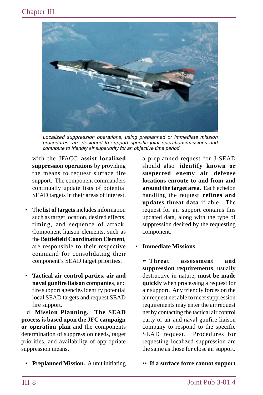

Localized suppression operations, using preplanned or immediate mission procedures, are designed to support specific joint operations/missions and contribute to friendly air superiority for an objective time period.

with the JFACC **assist localized suppression operations** by providing the means to request surface fire support. The component commanders continually update lists of potential SEAD targets in their areas of interest.

- The **list of targets** includes information such as target location, desired effects, timing, and sequence of attack. Component liaison elements, such as the **Battlefield Coordination Element**, are responsible to their respective command for consolidating their component's SEAD target priorities.
- **Tactical air control parties, air and naval gunfire liaison companies**, and fire support agencies identify potential local SEAD targets and request SEAD fire support.

d. **Mission Planning. The SEAD process is based upon the JFC campaign or operation plan** and the components determination of suppression needs, target priorities, and availability of appropriate suppression means.

• **Preplanned Mission.** A unit initiating

a preplanned request for J-SEAD should also **identify known or suspected enemy air defense locations enroute to and from and around the target area**. Each echelon handling the request **refines and updates threat data** if able. The request for air support contains this updated data, along with the type of suppression desired by the requesting component.

• **Immediate Missions**

•• **Threat assessment and suppression requirements**, usually destructive in nature**, must be made quickly** when processing a request for air support. Any friendly forces on the air request net able to meet suppression requirements may enter the air request net by contacting the tactical air control party or air and naval gunfire liaison company to respond to the specific SEAD request. Procedures for requesting localized suppression are the same as those for close air support.

•• **If a surface force cannot support**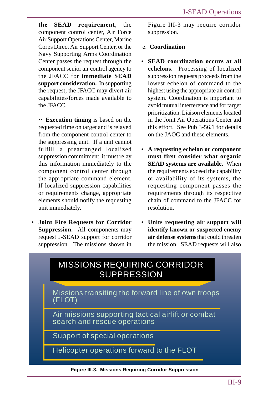**the SEAD requirement**, the component control center, Air Force Air Support Operations Center, Marine Corps Direct Air Support Center, or the Navy Supporting Arms Coordination Center passes the request through the component senior air control agency to the JFACC for **immediate SEAD support consideration.** In supporting the request, the JFACC may divert air capabilities/forces made available to the JFACC.

•• **Execution timing** is based on the requested time on target and is relayed from the component control center to the suppressing unit. If a unit cannot fulfill a prearranged localized suppression commitment, it must relay this information immediately to the component control center through the appropriate command element. If localized suppression capabilities or requirements change, appropriate elements should notify the requesting unit immediately.

• **Joint Fire Requests for Corridor Suppression.** All components may request J-SEAD support for corridor suppression. The missions shown in

Figure III-3 may require corridor suppression.

#### e. **Coordination**

- **SEAD coordination occurs at all echelons.** Processing of localized suppression requests proceeds from the lowest echelon of command to the highest using the appropriate air control system. Coordination is important to avoid mutual interference and for target prioritization. Liaison elements located in the Joint Air Operations Center aid this effort. See Pub 3-56.1 for details on the JAOC and these elements.
- **A requesting echelon or component must first consider what organic SEAD systems are available.** When the requirements exceed the capability or availability of its systems, the requesting component passes the requirements through its respective chain of command to the JFACC for resolution.
- **Units requesting air support will identify known or suspected enemy air defense systems** that could threaten the mission. SEAD requests will also

## MISSIONS REQUIRING CORRIDOR SUPPRESSION

Missions transiting the forward line of own troops (FLOT)

Air missions supporting tactical airlift or combat search and rescue operations

Support of special operations

Helicopter operations forward to the FLOT

#### **Figure III-3. Missions Requiring Corridor Suppression**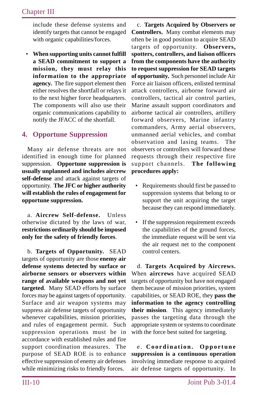<span id="page-34-0"></span>include these defense systems and identify targets that cannot be engaged with organic capabilities/forces.

• **When supporting units cannot fulfill a SEAD commitment to support a mission, they must relay this information to the appropriate agency.** The fire support element then either resolves the shortfall or relays it to the next higher force headquarters. The components will also use their organic communications capability to notify the JFACC of the shortfall.

## **4. Opportune Suppression**

Many air defense threats are not identified in enough time for planned suppression. **Opportune suppression is usually unplanned and includes aircrew self-defense** and attack against targets of opportunity. **The JFC or higher authority will establish the rules of engagement for opportune suppression.**

a. **Aircrew Self-defense.** Unless otherwise dictated by the laws of war, **restrictions ordinarily should be imposed only for the safety of friendly forces**.

b. **Targets of Opportunity.** SEAD targets of opportunity are those **enemy air defense systems detected by surface or airborne sensors or observers within range of available weapons and not yet targeted**. Many SEAD efforts by surface forces may be against targets of opportunity. Surface and air weapon systems may suppress air defense targets of opportunity whenever capabilities, mission priorities, and rules of engagement permit. Such suppression operations must be in accordance with established rules and fire support coordination measures. The purpose of SEAD ROE is to enhance effective suppression of enemy air defenses while minimizing risks to friendly forces.

c. **Targets Acquired by Observers or Controllers.** Many combat elements may often be in good position to acquire SEAD targets of opportunity. **Observers, spotters, controllers, and liaison officers from the components have the authority to request suppression for SEAD targets of opportunity.** Such personnel include Air Force air liaison officers, enlisted terminal attack controllers, airborne forward air controllers, tactical air control parties, Marine assault support coordinators and airborne tactical air controllers, artillery forward observers, Marine infantry commanders, Army aerial observers, unmanned aerial vehicles, and combat observation and lasing teams. The observers or controllers will forward these requests through their respective fire support channels. **The following procedures apply:**

- Requirements should first be passed to suppression systems that belong to or support the unit acquiring the target because they can respond immediately.
- If the suppression requirement exceeds the capabilities of the ground forces, the immediate request will be sent via the air request net to the component control centers.

d. **Targets Acquired by Aircrews.** When **aircrews** have acquired SEAD targets of opportunity but have not engaged them because of mission priorities, system capabilities, or SEAD ROE, they **pass the information to the agency controlling their mission**. This agency immediately passes the targeting data through the appropriate system or systems to coordinate with the force best suited for targeting.

e . **Coordination. Opportune suppression is a continuous operation** involving immediate response to acquired air defense targets of opportunity. In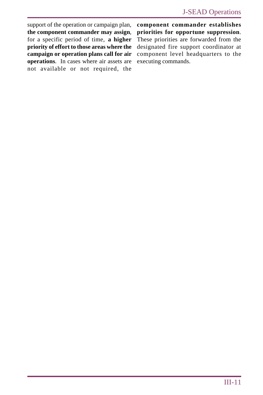support of the operation or campaign plan, **the component commander may assign**, for a specific period of time, **a higher priority of effort to those areas where the campaign or operation plans call for air operations**. In cases where air assets are not available or not required, the **component commander establishes priorities for opportune suppression**. These priorities are forwarded from the designated fire support coordinator at component level headquarters to the executing commands.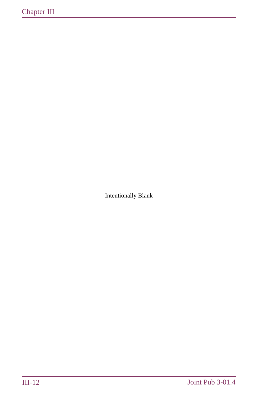Intentionally Blank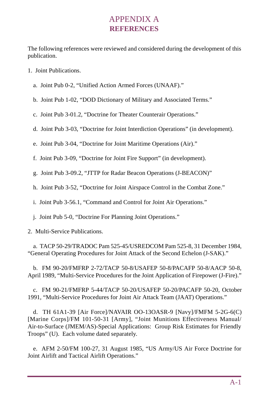## APPENDIX A **REFERENCES**

<span id="page-37-0"></span>The following references were reviewed and considered during the development of this publication.

- 1. Joint Publications.
	- a. Joint Pub 0-2, "Unified Action Armed Forces (UNAAF)."
	- b. Joint Pub 1-02, "DOD Dictionary of Military and Associated Terms."
	- c. Joint Pub 3-01.2, "Doctrine for Theater Counterair Operations."
	- d. Joint Pub 3-03, "Doctrine for Joint Interdiction Operations" (in development).
	- e. Joint Pub 3-04, "Doctrine for Joint Maritime Operations (Air)."
	- f. Joint Pub 3-09, "Doctrine for Joint Fire Support" (in development).
	- g. Joint Pub 3-09.2, "JTTP for Radar Beacon Operations (J-BEACON)"
	- h. Joint Pub 3-52, "Doctrine for Joint Airspace Control in the Combat Zone."
	- i. Joint Pub 3-56.1, "Command and Control for Joint Air Operations."
	- j. Joint Pub 5-0, "Doctrine For Planning Joint Operations."
- 2. Multi-Service Publications.

a. TACP 50-29/TRADOC Pam 525-45/USREDCOM Pam 525-8, 31 December 1984, "General Operating Procedures for Joint Attack of the Second Echelon (J-SAK)."

b. FM 90-20/FMFRP 2-72/TACP 50-8/USAFEP 50-8/PACAFP 50-8/AACP 50-8, April 1989, "Multi-Service Procedures for the Joint Application of Firepower (J-Fire)."

c. FM 90-21/FMFRP 5-44/TACP 50-20/USAFEP 50-20/PACAFP 50-20, October 1991, "Multi-Service Procedures for Joint Air Attack Team (JAAT) Operations."

d. TH 61A1-39 [Air Force]/NAVAIR OO-13OASR-9 [Navy]/FMFM 5-2G-6(C) [Marine Corps]/FM 101-50-31 [Army], "Joint Munitions Effectiveness Manual/ Air-to-Surface (JMEM/AS)-Special Applications: Group Risk Estimates for Friendly Troops" (U). Each volume dated separately.

e. AFM 2-50/FM 100-27, 31 August 1985, "US Army/US Air Force Doctrine for Joint Airlift and Tactical Airlift Operations."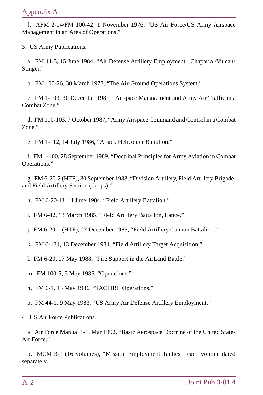f. AFM 2-14/FM 100-42, 1 November 1976, "US Air Force/US Army Airspace Management in an Area of Operations."

3. US Army Publications.

a. FM 44-3, 15 June 1984, "Air Defense Artillery Employment: Chaparral/Vulcan/ Stinger."

b. FM 100-26, 30 March 1973, "The Air-Ground Operations System."

c. FM 1-103, 30 December 1981, "Airspace Management and Army Air Traffic in a Combat Zone."

d. FM 100-103, 7 October 1987, "Army Airspace Command and Control in a Combat Zone."

e. FM 1-112, 14 July 1986, "Attack Helicopter Battalion."

f. FM 1-100, 28 September 1989, "Doctrinal Principles for Army Aviation in Combat Operations."

g. FM 6-20-2 (HTF), 30 September 1983, "Division Artillery, Field Artillery Brigade, and Field Artillery Section (Corps)."

h. FM 6-20-1J, 14 June 1984, "Field Artillery Battalion."

i. FM 6-42, 13 March 1985, "Field Artillery Battalion, Lance."

j. FM 6-20-1 (HTF), 27 December 1983, "Field Artillery Cannon Battalion."

k. FM 6-121, 13 December 1984, "Field Artillery Target Acquisition."

l. FM 6-20, 17 May 1988, "Fire Support in the AirLand Battle."

m. FM 100-5, 5 May 1986, "Operations."

n. FM 6-1, 13 May 1986, "TACFIRE Operations."

o. FM 44-1, 9 May 1983, "US Army Air Defense Artillery Employment."

4. US Air Force Publications.

a. Air Force Manual 1-1, Mar 1992, "Basic Aerospace Doctrine of the United States Air Force."

b. MCM 3-1 (16 volumes), "Mission Employment Tactics," each volume dated separately.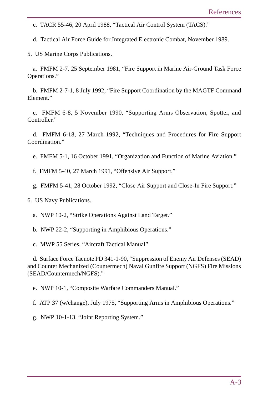c. TACR 55-46, 20 April 1988, "Tactical Air Control System (TACS)."

d. Tactical Air Force Guide for Integrated Electronic Combat, November 1989.

5. US Marine Corps Publications.

a. FMFM 2-7, 25 September 1981, "Fire Support in Marine Air-Ground Task Force Operations."

b. FMFM 2-7-1, 8 July 1992, "Fire Support Coordination by the MAGTF Command Element."

c. FMFM 6-8, 5 November 1990, "Supporting Arms Observation, Spotter, and Controller."

d. FMFM 6-18, 27 March 1992, "Techniques and Procedures for Fire Support Coordination."

e. FMFM 5-1, 16 October 1991, "Organization and Function of Marine Aviation."

f. FMFM 5-40, 27 March 1991, "Offensive Air Support."

g. FMFM 5-41, 28 October 1992, "Close Air Support and Close-In Fire Support."

6. US Navy Publications.

a. NWP 10-2, "Strike Operations Against Land Target."

b. NWP 22-2, "Supporting in Amphibious Operations."

c. MWP 55 Series, "Aircraft Tactical Manual"

d. Surface Force Tacnote PD 341-1-90, "Suppression of Enemy Air Defenses (SEAD) and Counter Mechanized (Countermech) Naval Gunfire Support (NGFS) Fire Missions (SEAD/Countermech/NGFS)."

e. NWP 10-1, "Composite Warfare Commanders Manual."

f. ATP 37 (w/change), July 1975, "Supporting Arms in Amphibious Operations."

g. NWP 10-1-13, "Joint Reporting System."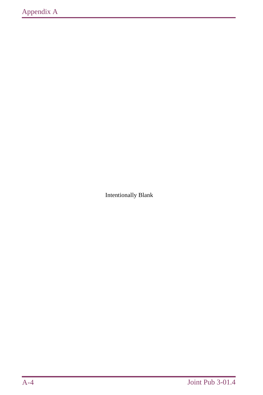Intentionally Blank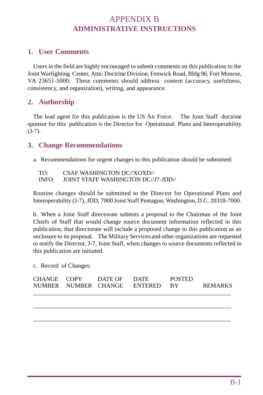## APPENDIX B **ADMINISTRATIVE INSTRUCTIONS**

## **1. User Comments**

Users in the field are highly encouraged to submit comments on this publication to the Joint Warfighting Center, Attn: Doctrine Division, Fenwick Road, Bldg 96, Fort Monroe, VA 23651-5000. These comments should address content (accuracy, usefulness, consistency, and organization), writing, and appearance.

### **2. Authorship**

The lead agent for this publication is the US Air Force. The Joint Staff doctrine sponsor for this publication is the Director for Operational Plans and Interoperability  $(J-7)$ .

### **3. Change Recommendations**

a. Recommendations for urgent changes to this publication should be submitted:

TO: CSAF WASHINGTON DC//XOXD// INFO: JOINT STAFF WASHINGTON DC//J7-JDD//

Routine changes should be submitted to the Director for Operational Plans and Interoperability (J-7), JDD, 7000 Joint Staff Pentagon, Washington, D.C. 20318-7000.

b. When a Joint Staff directorate submits a proposal to the Chairman of the Joint Chiefs of Staff that would change source document information reflected in this publication, that directorate will include a proposed change to this publication as an enclosure to its proposal. The Military Services and other organizations are requested to notify the Director, J-7, Joint Staff, when changes to source documents reflected in this publication are initiated.

c. Record of Changes:

| CHANGE COPY | NUMBER NUMBER CHANGE | DATE OF | DATE<br>ENTERED | <b>POSTED</b><br>ВY | <b>REMARKS</b> |
|-------------|----------------------|---------|-----------------|---------------------|----------------|
|-------------|----------------------|---------|-----------------|---------------------|----------------|

\_\_\_\_\_\_\_\_\_\_\_\_\_\_\_\_\_\_\_\_\_\_\_\_\_\_\_\_\_\_\_\_\_\_\_\_\_\_\_\_\_\_\_\_\_\_\_\_\_\_\_\_\_\_\_\_\_\_\_\_\_\_\_\_\_

\_\_\_\_\_\_\_\_\_\_\_\_\_\_\_\_\_\_\_\_\_\_\_\_\_\_\_\_\_\_\_\_\_\_\_\_\_\_\_\_\_\_\_\_\_\_\_\_\_\_\_\_\_\_\_\_\_\_\_\_\_\_\_\_\_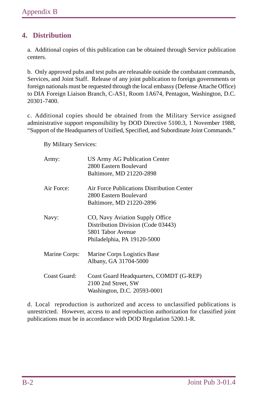## **4. Distribution**

a. Additional copies of this publication can be obtained through Service publication centers.

b. Only approved pubs and test pubs are releasable outside the combatant commands, Services, and Joint Staff. Release of any joint publication to foreign governments or foreign nationals must be requested through the local embassy (Defense Attache Office) to DIA Foreign Liaison Branch, C-AS1, Room 1A674, Pentagon, Washington, D.C. 20301-7400.

c. Additional copies should be obtained from the Military Service assigned administrative support responsibility by DOD Directive 5100.3, 1 November 1988, "Support of the Headquarters of Unified, Specified, and Subordinate Joint Commands."

By Military Services:

| Army:         | US Army AG Publication Center<br>2800 Eastern Boulevard<br>Baltimore, MD 21220-2898                                       |
|---------------|---------------------------------------------------------------------------------------------------------------------------|
| Air Force:    | Air Force Publications Distribution Center<br>2800 Eastern Boulevard<br>Baltimore, MD 21220-2896                          |
| Navy:         | CO, Navy Aviation Supply Office<br>Distribution Division (Code 03443)<br>5801 Tabor Avenue<br>Philadelphia, PA 19120-5000 |
| Marine Corps: | Marine Corps Logistics Base<br>Albany, GA 31704-5000                                                                      |
| Coast Guard:  | Coast Guard Headquarters, COMDT (G-REP)<br>2100 2nd Street, SW<br>Washington, D.C. 20593-0001                             |

d. Local reproduction is authorized and access to unclassified publications is unrestricted. However, access to and reproduction authorization for classified joint publications must be in accordance with DOD Regulation 5200.1-R.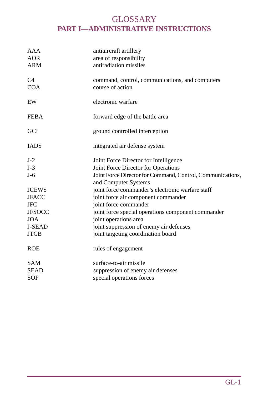## **GLOSSARY PART I—ADMINISTRATIVE INSTRUCTIONS**

<span id="page-43-0"></span>

| AAA<br><b>AOR</b><br><b>ARM</b> | antiaircraft artillery<br>area of responsibility<br>antiradiation missiles         |
|---------------------------------|------------------------------------------------------------------------------------|
| C <sub>4</sub><br><b>COA</b>    | command, control, communications, and computers<br>course of action                |
| EW                              | electronic warfare                                                                 |
| <b>FEBA</b>                     | forward edge of the battle area                                                    |
| <b>GCI</b>                      | ground controlled interception                                                     |
| <b>IADS</b>                     | integrated air defense system                                                      |
| $J-2$                           | Joint Force Director for Intelligence                                              |
| $J-3$                           | Joint Force Director for Operations                                                |
| $J-6$                           | Joint Force Director for Command, Control, Communications,<br>and Computer Systems |
| <b>JCEWS</b>                    | joint force commander's electronic warfare staff                                   |
| <b>JFACC</b>                    | joint force air component commander                                                |
| $_{\rm JFC}$                    | joint force commander                                                              |
| <b>JFSOCC</b>                   | joint force special operations component commander                                 |
| <b>JOA</b>                      | joint operations area                                                              |
| <b>J-SEAD</b>                   | joint suppression of enemy air defenses                                            |
| <b>JTCB</b>                     | joint targeting coordination board                                                 |
| <b>ROE</b>                      | rules of engagement                                                                |
| <b>SAM</b>                      | surface-to-air missile                                                             |
| <b>SEAD</b>                     | suppression of enemy air defenses                                                  |
| <b>SOF</b>                      | special operations forces                                                          |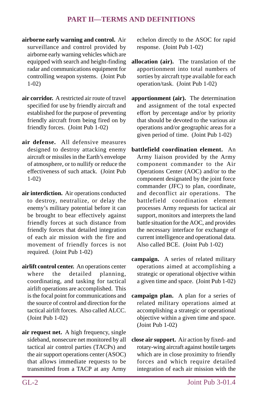## **PART II—TERMS AND DEFINITIONS**

- <span id="page-44-0"></span>**airborne early warning and control.** Air surveillance and control provided by airborne early warning vehicles which are equipped with search and height-finding radar and communications equipment for controlling weapon systems. (Joint Pub 1-02)
- **air corridor.** A restricted air route of travel specified for use by friendly aircraft and established for the purpose of preventing friendly aircraft from being fired on by friendly forces. (Joint Pub 1-02)
- **air defense.** All defensive measures designed to destroy attacking enemy aircraft or missiles in the Earth's envelope of atmosphere, or to nullify or reduce the effectiveness of such attack. (Joint Pub 1-02)
- **air interdiction.** Air operations conducted to destroy, neutralize, or delay the enemy's military potential before it can be brought to bear effectively against friendly forces at such distance from friendly forces that detailed integration of each air mission with the fire and movement of friendly forces is not required. (Joint Pub 1-02)
- **airlift control center.** An operations center<br>where the detailed planning. where the detailed planning, coordinating, and tasking for tactical airlift operations are accomplished. This is the focal point for communications and the source of control and direction for the tactical airlift forces. Also called ALCC. (Joint Pub 1-02)
- **air request net.** A high frequency, single sideband, nonsecure net monitored by all tactical air control parties (TACPs) and the air support operations center (ASOC) that allows immediate requests to be transmitted from a TACP at any Army

echelon directly to the ASOC for rapid response. (Joint Pub 1-02)

- **allocation (air).** The translation of the apportionment into total numbers of sorties by aircraft type available for each operation/task. (Joint Pub 1-02)
- **apportionment (air).** The determination and assignment of the total expected effort by percentage and/or by priority that should be devoted to the various air operations and/or geographic areas for a given period of time. (Joint Pub 1-02)
- **battlefield coordination element.** An Army liaison provided by the Army component commander to the Air Operations Center (AOC) and/or to the component designated by the joint force commander (JFC) to plan, coordinate, and deconflict air operations. The battlefield coordination element processes Army requests for tactical air support, monitors and interprets the land battle situation for the AOC, and provides the necessary interface for exchange of current intelligence and operational data. Also called BCE. (Joint Pub 1-02)
- **campaign.** A series of related military operations aimed at accomplishing a strategic or operational objective within a given time and space. (Joint Pub 1-02)
- **campaign plan.** A plan for a series of related military operations aimed at accomplishing a strategic or operational objective within a given time and space.  $(Ioint$  Pub  $1-02$ )
- **close air support.** Air action by fixed- and rotary-wing aircraft against hostile targets which are in close proximity to friendly forces and which require detailed integration of each air mission with the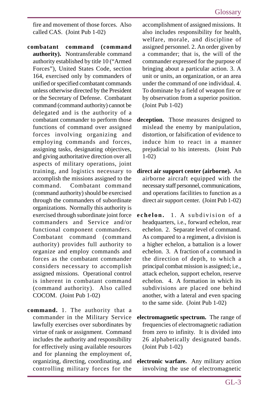fire and movement of those forces. Also called CAS. (Joint Pub 1-02)

- **combatant command (command authority).** Nontransferable command authority established by title 10 ("Armed Forces"), United States Code, section 164, exercised only by commanders of unified or specified combatant commands unless otherwise directed by the President or the Secretary of Defense. Combatant command (command authority) cannot be delegated and is the authority of a combatant commander to perform those functions of command over assigned forces involving organizing and employing commands and forces, assigning tasks, designating objectives, and giving authoritative direction over all aspects of military operations, joint training, and logistics necessary to accomplish the missions assigned to the command. Combatant command (command authority) should be exercised through the commanders of subordinate organizations. Normally this authority is exercised through subordinate joint force commanders and Service and/or functional component commanders. Combatant command (command authority) provides full authority to organize and employ commands and forces as the combatant commander considers necessary to accomplish assigned missions. Operational control is inherent in combatant command (command authority). Also called COCOM. (Joint Pub 1-02)
- **command.** 1. The authority that a commander in the Military Service lawfully exercises over subordinates by virtue of rank or assignment. Command includes the authority and responsibility for effectively using available resources and for planning the employment of, organizing, directing, coordinating, and controlling military forces for the

accomplishment of assigned missions. It also includes responsibility for health, welfare, morale, and discipline of assigned personnel. 2. An order given by a commander; that is, the will of the commander expressed for the purpose of bringing about a particular action. 3. A unit or units, an organization, or an area under the command of one individual. 4. To dominate by a field of weapon fire or by observation from a superior position. (Joint Pub 1-02)

- **deception.** Those measures designed to mislead the enemy by manipulation, distortion, or falsification of evidence to induce him to react in a manner prejudicial to his interests. (Joint Pub 1-02)
- **direct air support center (airborne).** An airborne aircraft equipped with the necessary staff personnel, communications, and operations facilities to function as a direct air support center. (Joint Pub 1-02)
- **echelon.** 1. A subdivision of a headquarters, i.e., forward echelon, rear echelon. 2. Separate level of command. As compared to a regiment, a division is a higher echelon, a battalion is a lower echelon. 3. A fraction of a command in the direction of depth, to which a principal combat mission is assigned; i.e., attack echelon, support echelon, reserve echelon. 4. A formation in which its subdivisions are placed one behind another, with a lateral and even spacing to the same side. (Joint Pub 1-02)
- **electromagnetic spectrum.** The range of frequencies of electromagnetic radiation from zero to infinity. It is divided into 26 alphabetically designated bands. (Joint Pub 1-02)
- **electronic warfare.** Any military action involving the use of electromagnetic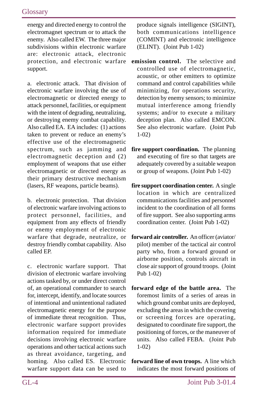energy and directed energy to control the electromagnet spectrum or to attack the enemy. Also called EW. The three major subdivisions within electronic warfare are: electronic attack, electronic protection, and electronic warfare support.

a. electronic attack. That division of electronic warfare involving the use of electromagnetic or directed energy to attack personnel, facilities, or equipment with the intent of degrading, neutralizing, or destroying enemy combat capability. Also called EA. EA includes: (1) actions taken to prevent or reduce an enemy's effective use of the electromagnetic spectrum, such as jamming and electromagnetic deception and (2) employment of weapons that use either electromagnetic or directed energy as their primary destructive mechanism (lasers, RF weapons, particle beams).

b. electronic protection. That division of electronic warfare involving actions to protect personnel, facilities, and equipment from any effects of friendly or enemy employment of electronic warfare that degrade, neutralize, or destroy friendly combat capability. Also called EP.

c. electronic warfare support. That division of electronic warfare involving actions tasked by, or under direct control of, an operational commander to search for, intercept, identify, and locate sources of intentional and unintentional radiated electromagnetic energy for the purpose of immediate threat recognition. Thus, electronic warfare support provides information required for immediate decisions involving electronic warfare operations and other tactical actions such as threat avoidance, targeting, and homing. Also called ES. Electronic warfare support data can be used to

produce signals intelligence (SIGINT), both communications intelligence (COMINT) and electronic intelligence (ELINT). (Joint Pub 1-02)

- **emission control.** The selective and controlled use of electromagnetic, acoustic, or other emitters to optimize command and control capabilities while minimizing, for operations security, detection by enemy sensors; to minimize mutual interference among friendly systems; and/or to execute a military deception plan. Also called EMCON. See also electronic warfare. (Joint Pub 1-02)
- **fire support coordination.** The planning and executing of fire so that targets are adequately covered by a suitable weapon or group of weapons. (Joint Pub 1-02)
- **fire support coordination center.** A single location in which are centralized communications facilities and personnel incident to the coordination of all forms of fire support. See also supporting arms coordination center. (Joint Pub 1-02)
- **forward air controller.** An officer (aviator/ pilot) member of the tactical air control party who, from a forward ground or airborne position, controls aircraft in close air support of ground troops. (Joint Pub 1-02)
- **forward edge of the battle area.** The foremost limits of a series of areas in which ground combat units are deployed, excluding the areas in which the covering or screening forces are operating, designated to coordinate fire support, the positioning of forces, or the maneuver of units. Also called FEBA. (Joint Pub 1-02)
- **forward line of own troops.** A line which indicates the most forward positions of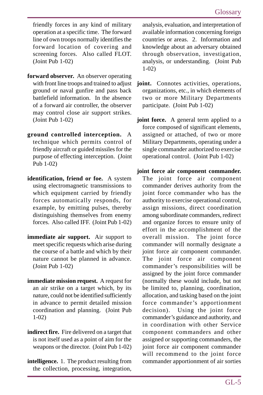friendly forces in any kind of military operation at a specific time. The forward line of own troops normally identifies the forward location of covering and screening forces. Also called FLOT. (Joint Pub 1-02)

- **forward observer.** An observer operating with front line troops and trained to adjust ground or naval gunfire and pass back battlefield information. In the absence of a forward air controller, the observer may control close air support strikes. (Joint Pub 1-02)
- **ground controlled interception.** A technique which permits control of friendly aircraft or guided missiles for the purpose of effecting interception. (Joint Pub 1-02)
- **identification, friend or foe.** A system using electromagnetic transmissions to which equipment carried by friendly forces automatically responds, for example, by emitting pulses, thereby distinguishing themselves from enemy forces. Also called IFF. (Joint Pub 1-02)
- **immediate air support.** Air support to meet specific requests which arise during the course of a battle and which by their nature cannot be planned in advance. (Joint Pub 1-02)
- **immediate mission request.** A request for an air strike on a target which, by its nature, could not be identified sufficiently in advance to permit detailed mission coordination and planning. (Joint Pub 1-02)
- **indirect fire.** Fire delivered on a target that is not itself used as a point of aim for the weapons or the director. (Joint Pub 1-02)
- **intelligence.** 1. The product resulting from the collection, processing, integration,

analysis, evaluation, and interpretation of available information concerning foreign countries or areas. 2. Information and knowledge about an adversary obtained through observation, investigation, analysis, or understanding. (Joint Pub 1-02)

- **joint.** Connotes activities, operations, organizations, etc., in which elements of two or more Military Departments participate. (Joint Pub 1-02)
- **joint force.** A general term applied to a force composed of significant elements, assigned or attached, of two or more Military Departments, operating under a single commander authorized to exercise operational control. (Joint Pub 1-02)
- **joint force air component commander.**

The joint force air component commander derives authority from the joint force commander who has the authority to exercise operational control, assign missions, direct coordination among subordinate commanders, redirect and organize forces to ensure unity of effort in the accomplishment of the overall mission. The joint force commander will normally designate a joint force air component commander. The joint force air component commander's responsibilities will be assigned by the joint force commander (normally these would include, but not be limited to, planning, coordination, allocation, and tasking based on the joint force commander's apportionment decision). Using the joint force commander's guidance and authority, and in coordination with other Service component commanders and other assigned or supporting commanders, the joint force air component commander will recommend to the joint force commander apportionment of air sorties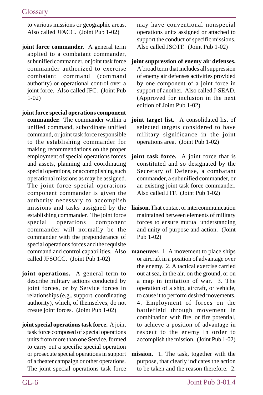to various missions or geographic areas. Also called JFACC. (Joint Pub 1-02)

- **joint force commander.** A general term applied to a combatant commander, subunified commander, or joint task force commander authorized to exercise combatant command (command authority) or operational control over a joint force. Also called JFC. (Joint Pub 1-02)
- **joint force special operations component commander.** The commander within a unified command, subordinate unified command, or joint task force responsible to the establishing commander for making recommendations on the proper employment of special operations forces and assets, planning and coordinating special operations, or accomplishing such operational missions as may be assigned. The joint force special operations component commander is given the authority necessary to accomplish missions and tasks assigned by the establishing commander. The joint force special operations component commander will normally be the commander with the preponderance of special operations forces and the requisite command and control capabilities. Also called JFSOCC. (Joint Pub 1-02)
- **joint operations.** A general term to describe military actions conducted by joint forces, or by Service forces in relationships (e.g., support, coordinating authority), which, of themselves, do not create joint forces. (Joint Pub 1-02)
- **joint special operations task force.** A joint task force composed of special operations units from more than one Service, formed to carry out a specific special operation or prosecute special operations in support of a theater campaign or other operations. The joint special operations task force

may have conventional nonspecial operations units assigned or attached to support the conduct of specific missions. Also called JSOTF. (Joint Pub 1-02)

- **joint suppression of enemy air defenses.** A broad term that includes all suppression of enemy air defenses activities provided by one component of a joint force in support of another. Also called J-SEAD. (Approved for inclusion in the next edition of Joint Pub 1-02)
- **joint target list.** A consolidated list of selected targets considered to have military significance in the joint operations area. (Joint Pub 1-02)
- **joint task force.** A joint force that is constituted and so designated by the Secretary of Defense, a combatant commander, a subunified commander, or an existing joint task force commander. Also called JTF. (Joint Pub 1-02)
- **liaison.** That contact or intercommunication maintained between elements of military forces to ensure mutual understanding and unity of purpose and action. (Joint Pub 1-02)
- **maneuver.** 1. A movement to place ships or aircraft in a position of advantage over the enemy. 2. A tactical exercise carried out at sea, in the air, on the ground, or on a map in imitation of war. 3. The operation of a ship, aircraft, or vehicle, to cause it to perform desired movements. 4. Employment of forces on the battlefield through movement in combination with fire, or fire potential, to achieve a position of advantage in respect to the enemy in order to accomplish the mission. (Joint Pub 1-02)
- **mission.** 1. The task, together with the purpose, that clearly indicates the action to be taken and the reason therefore. 2.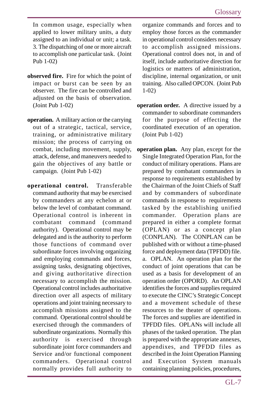In common usage, especially when applied to lower military units, a duty assigned to an individual or unit; a task. 3. The dispatching of one or more aircraft to accomplish one particular task. (Joint Pub 1-02)

- **observed fire.** Fire for which the point of impact or burst can be seen by an observer. The fire can be controlled and adjusted on the basis of observation. (Joint Pub 1-02)
- **operation.** A military action or the carrying out of a strategic, tactical, service, training, or administrative military mission; the process of carrying on combat, including movement, supply, attack, defense, and maneuvers needed to gain the objectives of any battle or campaign. (Joint Pub 1-02)
- **operational control.** Transferable command authority that may be exercised by commanders at any echelon at or below the level of combatant command. Operational control is inherent in combatant command (command authority). Operational control may be delegated and is the authority to perform those functions of command over subordinate forces involving organizing and employing commands and forces, assigning tasks, designating objectives, and giving authoritative direction necessary to accomplish the mission. Operational control includes authoritative direction over all aspects of military operations and joint training necessary to accomplish missions assigned to the command. Operational control should be exercised through the commanders of subordinate organizations. Normally this authority is exercised through subordinate joint force commanders and Service and/or functional component commanders. Operational control normally provides full authority to

organize commands and forces and to employ those forces as the commander in operational control considers necessary to accomplish assigned missions. Operational control does not, in and of itself, include authoritative direction for logistics or matters of administration, discipline, internal organization, or unit training. Also called OPCON. (Joint Pub 1-02)

- **operation order.** A directive issued by a commander to subordinate commanders for the purpose of effecting the coordinated execution of an operation. (Joint Pub 1-02)
- **operation plan.** Any plan, except for the Single Integrated Operation Plan, for the conduct of military operations. Plans are prepared by combatant commanders in response to requirements established by the Chairman of the Joint Chiefs of Staff and by commanders of subordinate commands in response to requirements tasked by the establishing unified commander. Operation plans are prepared in either a complete format (OPLAN) or as a concept plan (CONPLAN). The CONPLAN can be published with or without a time-phased force and deployment data (TPFDD) file. a. OPLAN. An operation plan for the conduct of joint operations that can be used as a basis for development of an operation order (OPORD). An OPLAN identifies the forces and supplies required to execute the CINC's Strategic Concept and a movement schedule of these resources to the theater of operations. The forces and supplies are identified in TPFDD files. OPLANs will include all phases of the tasked operation. The plan is prepared with the appropriate annexes, appendixes, and TPFDD files as described in the Joint Operation Planning and Execution System manuals containing planning policies, procedures,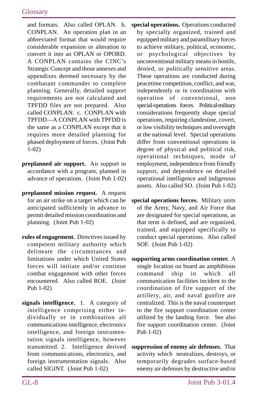and formats. Also called OPLAN. b. CONPLAN. An operation plan in an abbreviated format that would require considerable expansion or alteration to convert it into an OPLAN or OPORD. A CONPLAN contains the CINC's Strategic Concept and those annexes and appendixes deemed necessary by the combatant commander to complete planning. Generally, detailed support requirements are not calculated and TPFDD files are not prepared. Also called CONPLAN. c. CONPLAN with TPFDD—A CONPLAN with TPFDD is the same as a CONPLAN except that it requires more detailed planning for phased deployment of forces. (Joint Pub 1-02)

- **preplanned air support.** Air support in accordance with a program, planned in advance of operations. (Joint Pub 1-02)
- **preplanned mission request.** A request for an air strike on a target which can be anticipated sufficiently in advance to permit detailed mission coordination and planning. (Joint Pub 1-02)
- **rules of engagement.** Directives issued by competent military authority which delineate the circumstances and limitations under which United States forces will initiate and/or continue combat engagement with other forces encountered. Also called ROE. (Joint Pub 1-02)
- **signals intelligence.** 1. A category of intelligence comprising either individually or in combination all communications intelligence, electronics intelligence, and foreign instrumentation signals intelligence, however transmitted. 2. Intelligence derived from communications, electronics, and foreign instrumentation signals. Also called SIGINT. (Joint Pub 1-02)
- **special operations.** Operations conducted by specially organized, trained and equipped military and paramilitary forces to achieve military, political, economic, or psychological objectives by unconventional military means in hostile, denied, or politically sensitive areas. These operations are conducted during peacetime competition, conflict, and war, independently or in coordination with operation of conventional, non special-operations forces. Political-military considerations frequently shape special operations, requiring clandestine, covert, or low visibility techniques and oversight at the national level. Special operations differ from conventional operations in degree of physical and political risk, operational techniques, mode of employment, independence from friendly support, and dependence on detailed operational intelligence and indigenous assets. Also called SO. (Joint Pub 1-02)
- **special operations forces.** Military units of the Army, Navy, and Air Force that are designated for special operations, as that term is defined, and are organized, trained, and equipped specifically to conduct special operations. Also called SOF. (Joint Pub 1-02)
- **supporting arms coordination center.** A single location on board an amphibious command ship in which all communication facilities incident to the coordination of fire support of the artillery, air, and naval gunfire are centralized. This is the naval counterpart to the fire support coordination center utilized by the landing force. See also fire support coordination center. (Joint Pub 1-02)
- **suppression of enemy air defenses.** That activity which neutralizes, destroys, or temporarily degrades surface-based enemy air defenses by destructive and/or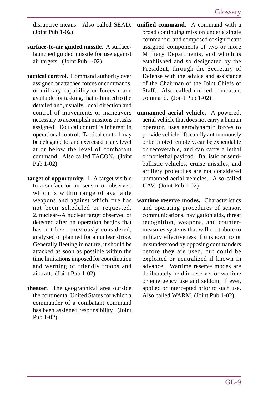disruptive means. Also called SEAD. (Joint Pub 1-02)

- **surface-to-air guided missile.** A surfacelaunched guided missile for use against air targets. (Joint Pub 1-02)
- **tactical control.** Command authority over assigned or attached forces or commands, or military capability or forces made available for tasking, that is limited to the detailed and, usually, local direction and control of movements or maneuvers necessary to accomplish missions or tasks assigned. Tactical control is inherent in operational control. Tactical control may be delegated to, and exercised at any level at or below the level of combatant command. Also called TACON. (Joint Pub 1-02)
- **target of opportunity.** 1. A target visible to a surface or air sensor or observer, which is within range of available weapons and against which fire has not been scheduled or requested. 2. nuclear--A nuclear target observed or detected after an operation begins that has not been previously considered, analyzed or planned for a nuclear strike. Generally fleeting in nature, it should be attacked as soon as possible within the time limitations imposed for coordination and warning of friendly troops and aircraft. (Joint Pub 1-02)
- **theater.** The geographical area outside the continental United States for which a commander of a combatant command has been assigned responsibility. (Joint Pub 1-02)
- **unified command.** A command with a broad continuing mission under a single commander and composed of significant assigned components of two or more Military Departments, and which is established and so designated by the President, through the Secretary of Defense with the advice and assistance of the Chairman of the Joint Chiefs of Staff. Also called unified combatant command. (Joint Pub 1-02)
- **unmanned aerial vehicle.** A powered, aerial vehicle that does not carry a human operator, uses aerodynamic forces to provide vehicle lift, can fly autonomously or be piloted remotely, can be expendable or recoverable, and can carry a lethal or nonlethal payload. Ballistic or semiballistic vehicles, cruise missiles, and artillery projectiles are not considered unmanned aerial vehicles. Also called UAV. (Joint Pub 1-02)
- **wartime reserve modes.** Characteristics and operating procedures of sensor, communications, navigation aids, threat recognition, weapons, and countermeasures systems that will contribute to military effectiveness if unknown to or misunderstood by opposing commanders before they are used, but could be exploited or neutralized if known in advance. Wartime reserve modes are deliberately held in reserve for wartime or emergency use and seldom, if ever, applied or intercepted prior to such use. Also called WARM. (Joint Pub 1-02)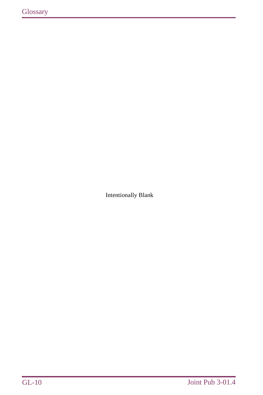Intentionally Blank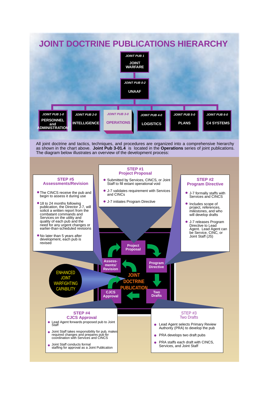